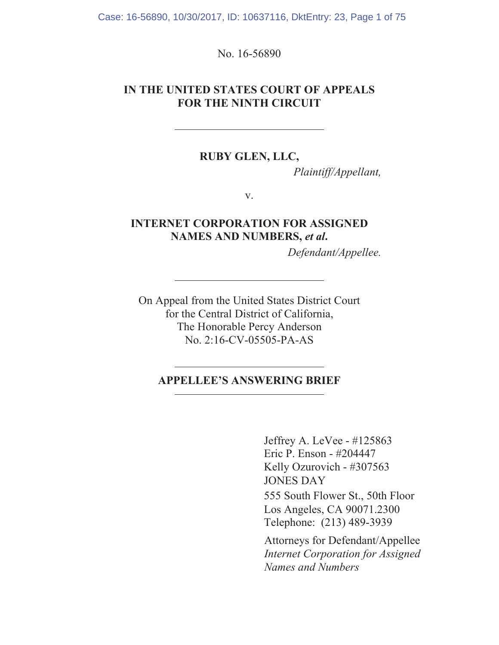Case: 16-56890, 10/30/2017, ID: 10637116, DktEntry: 23, Page 1 of 75

No. 16-56890

#### IN THE UNITED STATES COURT OF APPEALS **FOR THE NINTH CIRCUIT**

#### RUBY GLEN, LLC,

Plaintiff/Appellant,

V.

#### **INTERNET CORPORATION FOR ASSIGNED** NAMES AND NUMBERS, et al.

Defendant/Appellee.

On Appeal from the United States District Court for the Central District of California, The Honorable Percy Anderson No. 2:16-CV-05505-PA-AS

#### **APPELLEE'S ANSWERING BRIEF**

Jeffrey A. LeVee - #125863 Eric P. Enson - #204447 Kelly Ozurovich - #307563 **JONES DAY** 555 South Flower St., 50th Floor Los Angeles, CA 90071.2300 Telephone: (213) 489-3939

Attorneys for Defendant/Appellee **Internet Corporation for Assigned** Names and Numbers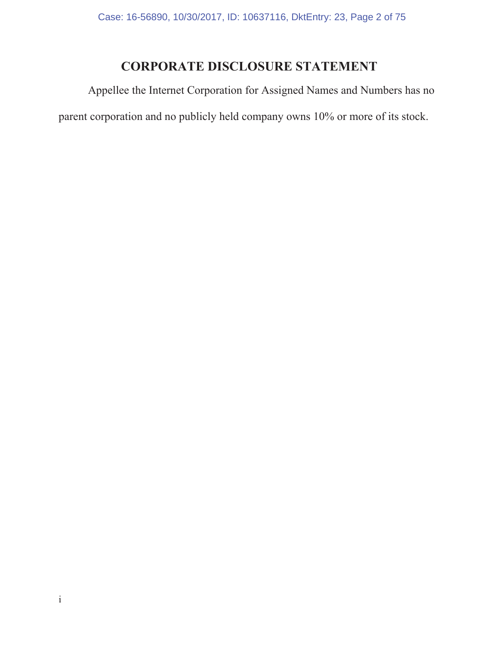# **CORPORATE DISCLOSURE STATEMENT**

Appellee the Internet Corporation for Assigned Names and Numbers has no parent corporation and no publicly held company owns 10% or more of its stock.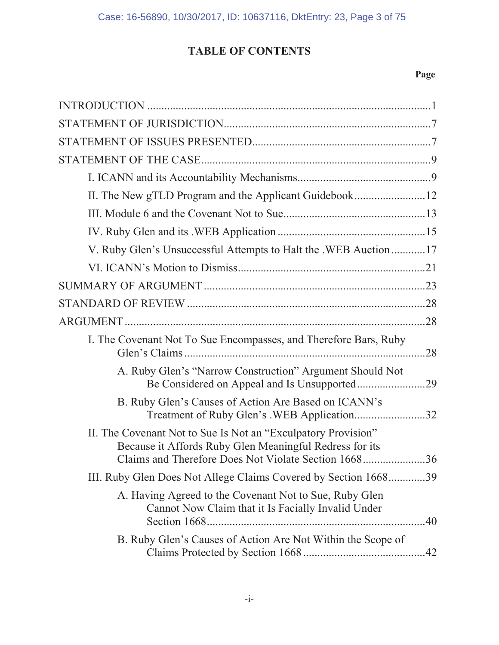# **TABLE OF CONTENTS**

| V. Ruby Glen's Unsuccessful Attempts to Halt the .WEB Auction  17                                                                                                                    |
|--------------------------------------------------------------------------------------------------------------------------------------------------------------------------------------|
|                                                                                                                                                                                      |
|                                                                                                                                                                                      |
|                                                                                                                                                                                      |
|                                                                                                                                                                                      |
| I. The Covenant Not To Sue Encompasses, and Therefore Bars, Ruby<br>.28                                                                                                              |
| A. Ruby Glen's "Narrow Construction" Argument Should Not<br>Be Considered on Appeal and Is Unsupported29                                                                             |
| B. Ruby Glen's Causes of Action Are Based on ICANN's<br>Treatment of Ruby Glen's .WEB Application32                                                                                  |
| II. The Covenant Not to Sue Is Not an "Exculpatory Provision"<br>Because it Affords Ruby Glen Meaningful Redress for its<br>Claims and Therefore Does Not Violate Section 1668<br>36 |
| III. Ruby Glen Does Not Allege Claims Covered by Section 166839                                                                                                                      |
| A. Having Agreed to the Covenant Not to Sue, Ruby Glen<br>Cannot Now Claim that it Is Facially Invalid Under                                                                         |
| B. Ruby Glen's Causes of Action Are Not Within the Scope of                                                                                                                          |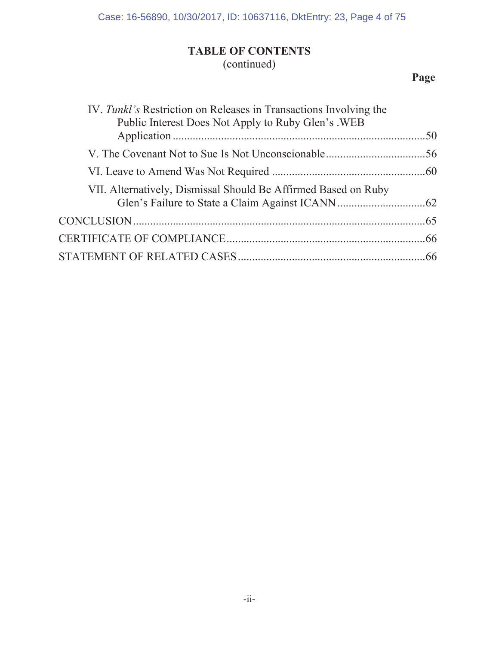# **7ABLE OF CONTENTS**

# (continued)

| IV. Tunkl's Restriction on Releases in Transactions Involving the<br>Public Interest Does Not Apply to Ruby Glen's . WEB |  |
|--------------------------------------------------------------------------------------------------------------------------|--|
|                                                                                                                          |  |
|                                                                                                                          |  |
|                                                                                                                          |  |
| VII. Alternatively, Dismissal Should Be Affirmed Based on Ruby                                                           |  |
|                                                                                                                          |  |
|                                                                                                                          |  |
|                                                                                                                          |  |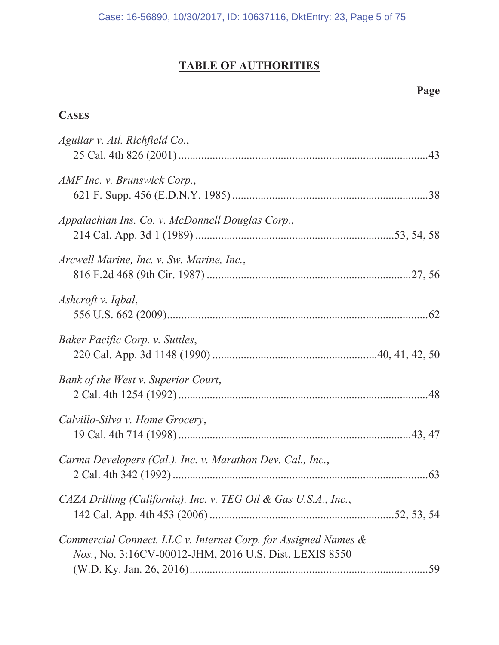#### **TABLE OF AUTHORITIES**

**CASES** 

# Aguilar v. Atl. Richfield Co., AMF Inc. v. Brunswick Corp., Appalachian Ins. Co. v. McDonnell Douglas Corp., Arcwell Marine, Inc. v. Sw. Marine, Inc.,

| Ashcroft v. Iqbal,                                              |  |
|-----------------------------------------------------------------|--|
| Baker Pacific Corp. v. Suttles,                                 |  |
| Bank of the West v. Superior Court,                             |  |
| Calvillo-Silva v. Home Grocery,                                 |  |
| Carma Developers (Cal.), Inc. v. Marathon Dev. Cal., Inc.,      |  |
| CAZA Drilling (California), Inc. v. TEG Oil & Gas U.S.A., Inc., |  |
| Commercial Connect, LLC v. Internet Corp. for Assigned Names &  |  |

| $\omega$ ommercial Connect, LLC v. Internet Corp. for Assigned Ivames $\alpha$ |  |
|--------------------------------------------------------------------------------|--|
| <i>Nos.</i> , No. 3:16CV-00012-JHM, 2016 U.S. Dist. LEXIS 8550                 |  |
|                                                                                |  |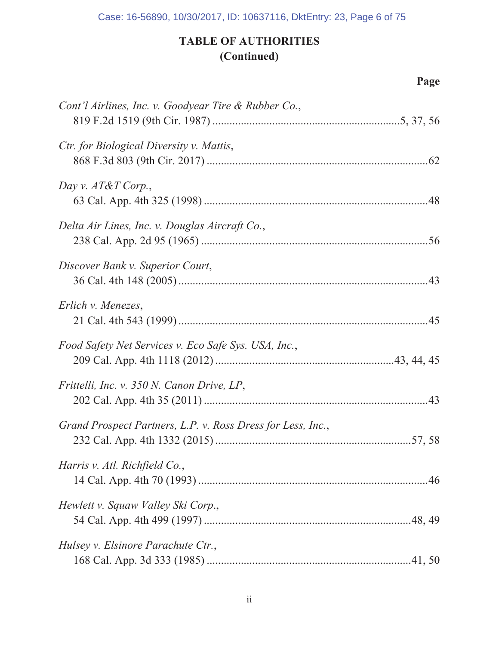# **7ABLE OF AUTHORITIES**  $(Continued)$

| Cont'l Airlines, Inc. v. Goodyear Tire & Rubber Co.,        |  |
|-------------------------------------------------------------|--|
| Ctr. for Biological Diversity v. Mattis,                    |  |
| Day v. $AT\&T$ Corp.,                                       |  |
| Delta Air Lines, Inc. v. Douglas Aircraft Co.,              |  |
| Discover Bank v. Superior Court,                            |  |
| Erlich v. Menezes,                                          |  |
| Food Safety Net Services v. Eco Safe Sys. USA, Inc.,        |  |
| Frittelli, Inc. v. 350 N. Canon Drive, LP,                  |  |
| Grand Prospect Partners, L.P. v. Ross Dress for Less, Inc., |  |
| Harris v. Atl. Richfield Co.,                               |  |
| Hewlett v. Squaw Valley Ski Corp.,                          |  |
| Hulsey v. Elsinore Parachute Ctr.,                          |  |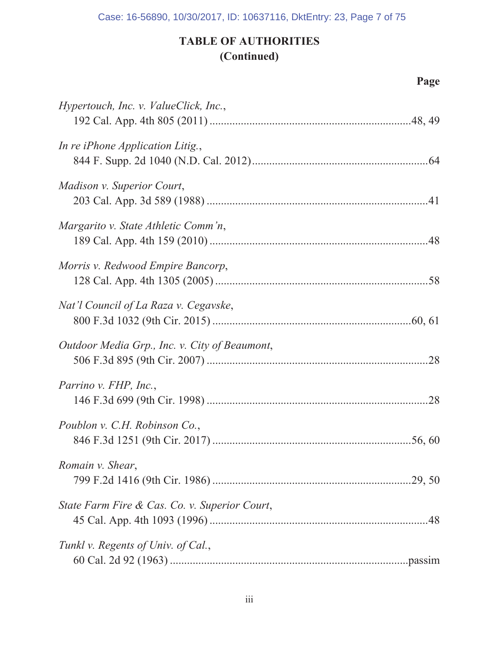# **TABLE OF AUTHORITIES** (Continued)

| Hypertouch, Inc. v. ValueClick, Inc.,         |
|-----------------------------------------------|
| In re iPhone Application Litig.,              |
| Madison v. Superior Court,                    |
| Margarito v. State Athletic Comm'n,           |
| Morris v. Redwood Empire Bancorp,             |
| Nat'l Council of La Raza v. Cegavske,         |
| Outdoor Media Grp., Inc. v. City of Beaumont, |
| Parrino v. FHP, Inc.,                         |
| Poublon v. C.H. Robinson Co.,                 |
| Romain v. Shear,                              |
| State Farm Fire & Cas. Co. v. Superior Court, |
| Tunkl v. Regents of Univ. of Cal.,            |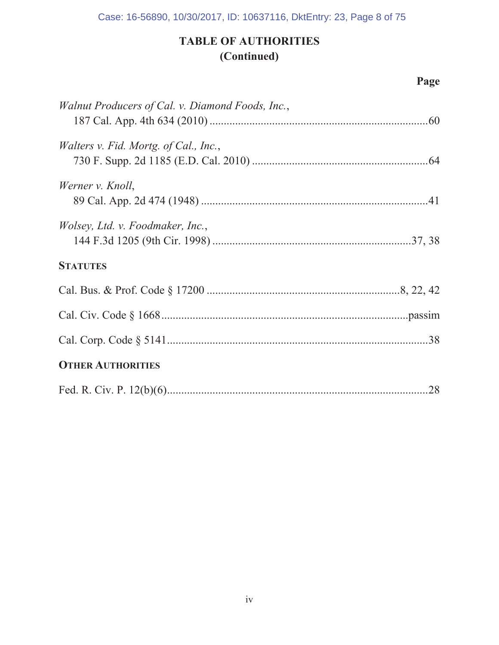# **7ABLE OF AUTHORITIES**  $(Continued)$

| Walnut Producers of Cal. v. Diamond Foods, Inc., |  |
|--------------------------------------------------|--|
| Walters v. Fid. Mortg. of Cal., Inc.,            |  |
| Werner v. Knoll,                                 |  |
| <i>Wolsey, Ltd. v. Foodmaker, Inc.,</i>          |  |
| <b>STATUTES</b>                                  |  |
|                                                  |  |
|                                                  |  |
|                                                  |  |
| <b>OTHER AUTHORITIES</b>                         |  |
|                                                  |  |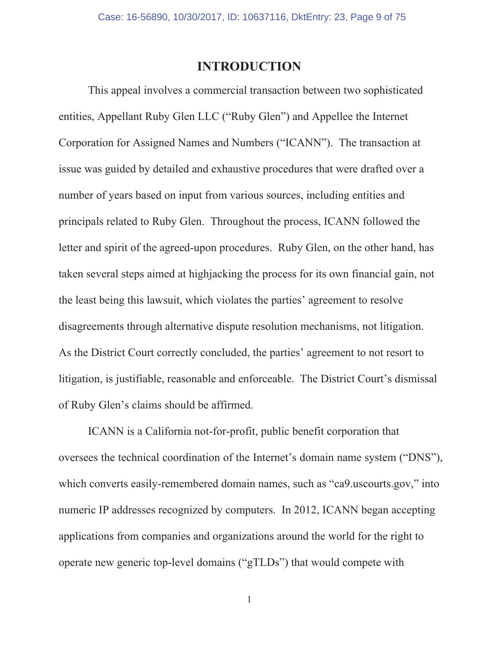#### **INTRODUCTION**

This appeal involves a commercial transaction between two sophisticated entities, Appellant Ruby Glen LLC ("Ruby Glen") and Appellee the Internet Corporation for Assigned Names and Numbers ("ICANN"). The transaction at issue was guided by detailed and exhaustive procedures that were drafted over a number of years based on input from various sources, including entities and principals related to Ruby Glen. Throughout the process, ICANN followed the letter and spirit of the agreed-upon procedures. Ruby Glen, on the other hand, has taken several steps aimed at highjacking the process for its own financial gain, not the least being this lawsuit, which violates the parties' agreement to resolve disagreements through alternative dispute resolution mechanisms, not litigation. As the District Court correctly concluded, the parties' agreement to not resort to litigation, is justifiable, reasonable and enforceable. The District Court's dismissal of Ruby Glen's claims should be affirmed.

ICANN is a California not-for-profit, public benefit corporation that oversees the technical coordination of the Internet's domain name system ("DNS"), which converts easily-remembered domain names, such as "ca9.uscourts.gov," into numeric IP addresses recognized by computers. In 2012, ICANN began accepting applications from companies and organizations around the world for the right to operate new generic top-level domains ("gTLDs") that would compete with

 $\mathbf{1}$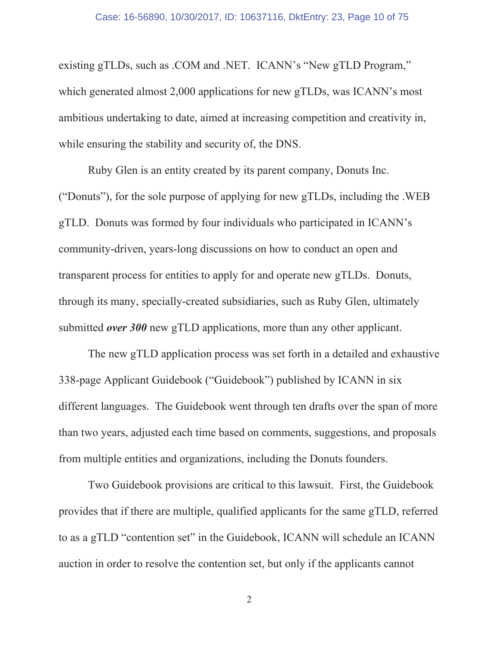existing gTLDs, such as .COM and .NET. ICANN's "New gTLD Program," which generated almost 2,000 applications for new gTLDs, was ICANN's most ambitious undertaking to date, aimed at increasing competition and creativity in, while ensuring the stability and security of, the DNS.

Ruby Glen is an entity created by its parent company, Donuts Inc. ("Donuts"), for the sole purpose of applying for new gTLDs, including the .WEB gTLD. Donuts was formed by four individuals who participated in ICANN's community-driven, years-long discussions on how to conduct an open and transparent process for entities to apply for and operate new gTLDs. Donuts, through its many, specially-created subsidiaries, such as Ruby Glen, ultimately submitted *over* 300 new gTLD applications, more than any other applicant.

The new gTLD application process was set forth in a detailed and exhaustive 338-page Applicant Guidebook ("Guidebook") published by ICANN in six different languages. The Guidebook went through ten drafts over the span of more than two years, adjusted each time based on comments, suggestions, and proposals from multiple entities and organizations, including the Donuts founders.

Two Guidebook provisions are critical to this lawsuit. First, the Guidebook provides that if there are multiple, qualified applicants for the same gTLD, referred to as a gTLD "contention set" in the Guidebook, ICANN will schedule an ICANN auction in order to resolve the contention set, but only if the applicants cannot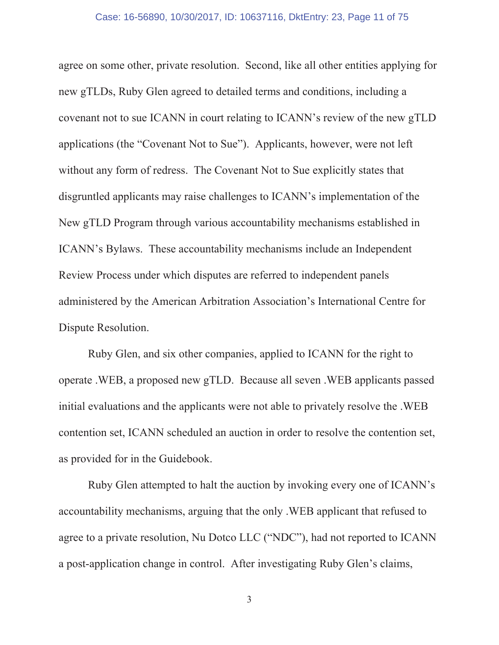#### Case: 16-56890, 10/30/2017, ID: 10637116, DktEntry: 23, Page 11 of 75

agree on some other, private resolution. Second, like all other entities applying for new gTLDs, Ruby Glen agreed to detailed terms and conditions, including a covenant not to sue ICANN in court relating to ICANN's review of the new gTLD applications (the "Covenant Not to Sue"). Applicants, however, were not left without any form of redress. The Covenant Not to Sue explicitly states that disgruntled applicants may raise challenges to ICANN's implementation of the New gTLD Program through various accountability mechanisms established in ICANN's Bylaws. These accountability mechanisms include an Independent Review Process under which disputes are referred to independent panels administered by the American Arbitration Association's International Centre for Dispute Resolution.

Ruby Glen, and six other companies, applied to ICANN for the right to operate . WEB, a proposed new gTLD. Because all seven . WEB applicants passed initial evaluations and the applicants were not able to privately resolve the .WEB contention set, ICANN scheduled an auction in order to resolve the contention set, as provided for in the Guidebook.

Ruby Glen attempted to halt the auction by invoking every one of ICANN's accountability mechanisms, arguing that the only. WEB applicant that refused to agree to a private resolution, Nu Dotco LLC ("NDC"), had not reported to ICANN a post-application change in control. After investigating Ruby Glen's claims,

 $\mathfrak{Z}$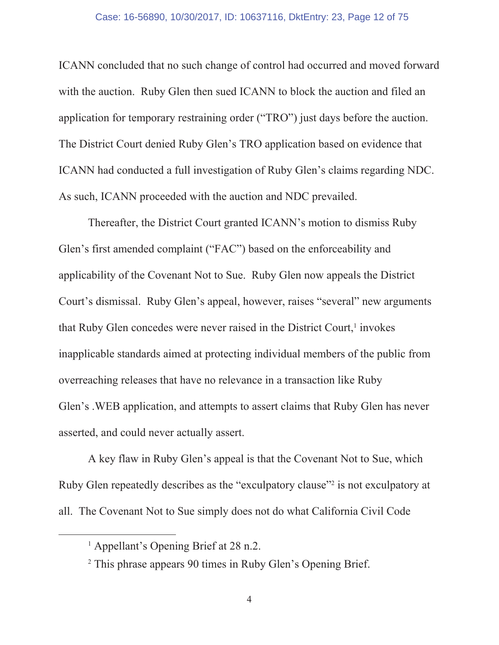#### Case: 16-56890, 10/30/2017, ID: 10637116, DktEntry: 23, Page 12 of 75

ICANN concluded that no such change of control had occurred and moved forward with the auction. Ruby Glen then sued ICANN to block the auction and filed an application for temporary restraining order ("TRO") just days before the auction. The District Court denied Ruby Glen's TRO application based on evidence that ICANN had conducted a full investigation of Ruby Glen's claims regarding NDC. As such, ICANN proceeded with the auction and NDC prevailed.

Thereafter, the District Court granted ICANN's motion to dismiss Ruby Glen's first amended complaint ("FAC") based on the enforceability and applicability of the Covenant Not to Sue. Ruby Glen now appeals the District Court's dismissal. Ruby Glen's appeal, however, raises "several" new arguments that Ruby Glen concedes were never raised in the District Court,<sup>1</sup> invokes inapplicable standards aimed at protecting individual members of the public from overreaching releases that have no relevance in a transaction like Ruby Glen's . WEB application, and attempts to assert claims that Ruby Glen has never asserted, and could never actually assert.

A key flaw in Ruby Glen's appeal is that the Covenant Not to Sue, which Ruby Glen repeatedly describes as the "exculpatory clause" is not exculpatory at all. The Covenant Not to Sue simply does not do what California Civil Code

<sup>&</sup>lt;sup>1</sup> Appellant's Opening Brief at 28 n.2.

<sup>&</sup>lt;sup>2</sup> This phrase appears 90 times in Ruby Glen's Opening Brief.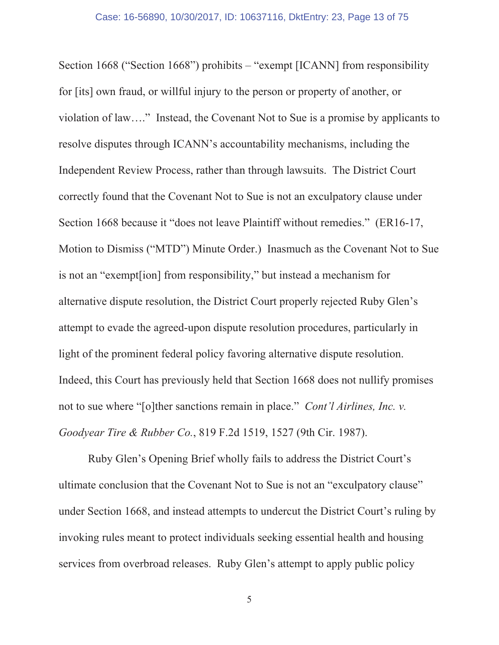Section 1668 ("Section 1668") prohibits  $-$  "exempt [ICANN] from responsibility for [its] own fraud, or will full injury to the person or property of another, or violation of law...." Instead, the Covenant Not to Sue is a promise by applicants to resolve disputes through ICANN's accountability mechanisms, including the Independent Review Process, rather than through lawsuits. The District Court correctly found that the Covenant Not to Sue is not an exculpatory clause under Section 1668 because it "does not leave Plaintiff without remedies." (ER16-17, Motion to Dismiss ("MTD") Minute Order.) Inasmuch as the Covenant Not to Sue is not an "exempt[ion] from responsibility," but instead a mechanism for alternative dispute resolution, the District Court properly rejected Ruby Glen's attempt to evade the agreed-upon dispute resolution procedures, particularly in light of the prominent federal policy favoring alternative dispute resolution. Indeed, this Court has previously held that Section 1668 does not nullify promises not to sue where "[o]ther sanctions remain in place." Cont'l Airlines, Inc. v. Goodyear Tire & Rubber Co., 819 F.2d 1519, 1527 (9th Cir. 1987).

Ruby Glen's Opening Brief wholly fails to address the District Court's ultimate conclusion that the Covenant Not to Sue is not an "exculpatory clause" under Section 1668, and instead attempts to undercut the District Court's ruling by invoking rules meant to protect individuals seeking essential health and housing services from overbroad releases. Ruby Glen's attempt to apply public policy

 $\mathfrak{S}$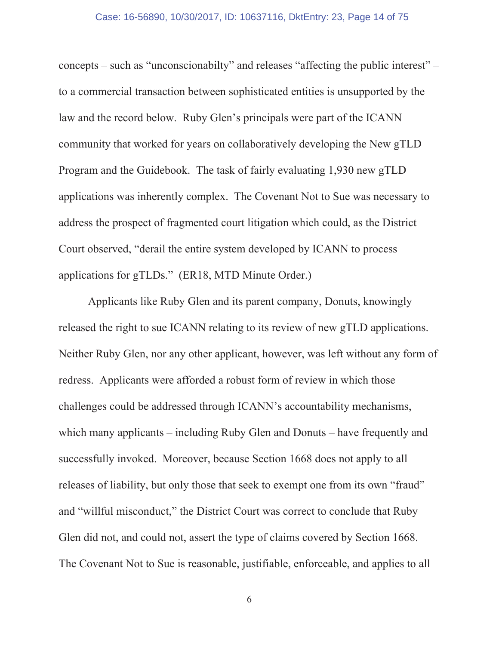#### Case: 16-56890, 10/30/2017, ID: 10637116, DktEntry: 23, Page 14 of 75

concepts – such as "unconscionabilty" and releases "affecting the public interest" – to a commercial transaction between sophisticated entities is unsupported by the law and the record below. Ruby Glen's principals were part of the ICANN community that worked for years on collaboratively developing the New gTLD Program and the Guidebook. The task of fairly evaluating 1,930 new gTLD applications was inherently complex. The Covenant Not to Sue was necessary to address the prospect of fragmented court litigation which could, as the District Court observed, "derail the entire system developed by ICANN to process applications for gTLDs." (ER18, MTD Minute Order.)

Applicants like Ruby Glen and its parent company, Donuts, knowingly released the right to sue ICANN relating to its review of new gTLD applications. Neither Ruby Glen, nor any other applicant, however, was left without any form of redress. Applicants were afforded a robust form of review in which those challenges could be addressed through ICANN's accountability mechanisms, which many applicants – including Ruby Glen and Donuts – have frequently and successfully invoked. Moreover, because Section 1668 does not apply to all releases of liability, but only those that seek to exempt one from its own "fraud" and "willful misconduct," the District Court was correct to conclude that Ruby Glen did not, and could not, assert the type of claims covered by Section 1668. The Covenant Not to Sue is reasonable, justifiable, enforceable, and applies to all

6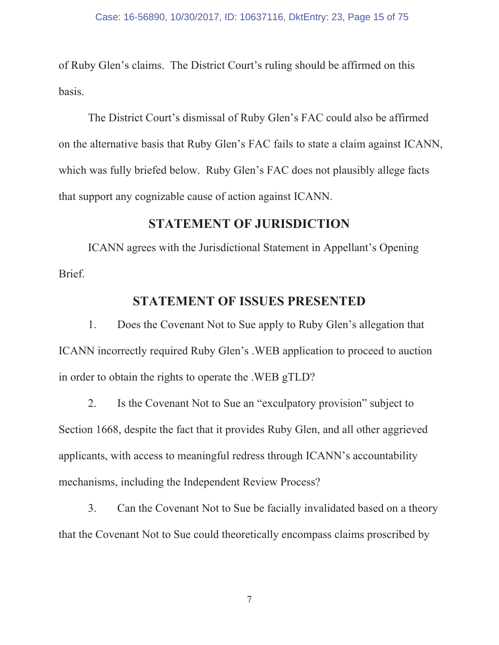of Ruby Glen's claims. The District Court's ruling should be affirmed on this basis.

The District Court's dismissal of Ruby Glen's FAC could also be affirmed on the alternative basis that Ruby Glen's FAC fails to state a claim against ICANN, which was fully briefed below. Ruby Glen's FAC does not plausibly allege facts that support any cognizable cause of action against ICANN.

### **STATEMENT OF JURISDICTION**

ICANN agrees with the Jurisdictional Statement in Appellant's Opening Brief.

### **STATEMENT OF ISSUES PRESENTED**

 $1_{\cdot}$ Does the Covenant Not to Sue apply to Ruby Glen's allegation that ICANN incorrectly required Ruby Glen's . WEB application to proceed to auction in order to obtain the rights to operate the . WEB gTLD?

2. Is the Covenant Not to Sue an "exculpatory provision" subject to Section 1668, despite the fact that it provides Ruby Glen, and all other aggrieved applicants, with access to meaningful redress through ICANN's accountability mechanisms, including the Independent Review Process?

 $3.$ Can the Covenant Not to Sue be facially invalidated based on a theory that the Covenant Not to Sue could theoretically encompass claims proscribed by

 $\boldsymbol{7}$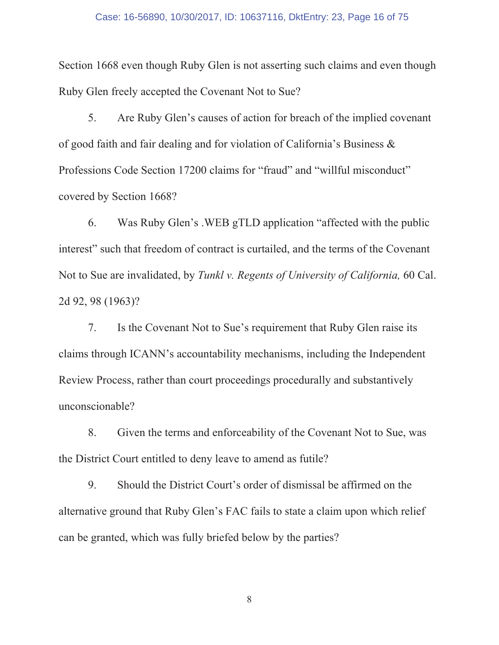#### Case: 16-56890, 10/30/2017, ID: 10637116, DktEntry: 23, Page 16 of 75

Section 1668 even though Ruby Glen is not asserting such claims and even though Ruby Glen freely accepted the Covenant Not to Sue?

5. Are Ruby Glen's causes of action for breach of the implied covenant of good faith and fair dealing and for violation of California's Business & Professions Code Section 17200 claims for "fraud" and "willful misconduct" covered by Section 1668?

Was Ruby Glen's .WEB gTLD application "affected with the public 6. interest" such that freedom of contract is curtailed, and the terms of the Covenant Not to Sue are invalidated, by Tunkl v. Regents of University of California, 60 Cal. 2d 92, 98 (1963)?

7. Is the Covenant Not to Sue's requirement that Ruby Glen raise its claims through ICANN's accountability mechanisms, including the Independent Review Process, rather than court proceedings procedurally and substantively unconscionable?

Given the terms and enforceability of the Covenant Not to Sue, was 8. the District Court entitled to deny leave to amend as futile?

9. Should the District Court's order of dismissal be affirmed on the alternative ground that Ruby Glen's FAC fails to state a claim upon which relief can be granted, which was fully briefed below by the parties?

 $8\,$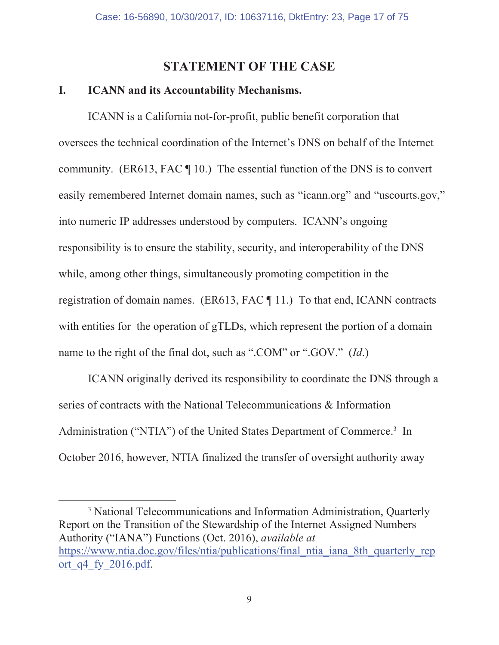### **STATEMENT OF THE CASE**

#### I. **ICANN** and its Accountability Mechanisms.

ICANN is a California not-for-profit, public benefit corporation that oversees the technical coordination of the Internet's DNS on behalf of the Internet community. (ER613, FAC  $\P$  10.) The essential function of the DNS is to convert easily remembered Internet domain names, such as "icann.org" and "uscourts.gov," into numeric IP addresses understood by computers. ICANN's ongoing responsibility is to ensure the stability, security, and interoperability of the DNS while, among other things, simultaneously promoting competition in the registration of domain names. (ER613, FAC ¶ 11.) To that end, ICANN contracts with entities for the operation of gTLDs, which represent the portion of a domain name to the right of the final dot, such as ".COM" or ".GOV." (Id.)

ICANN originally derived its responsibility to coordinate the DNS through a series of contracts with the National Telecommunications & Information Administration ("NTIA") of the United States Department of Commerce.<sup>3</sup> In October 2016, however, NTIA finalized the transfer of oversight authority away

<sup>3</sup> National Telecommunications and Information Administration, Quarterly Report on the Transition of the Stewardship of the Internet Assigned Numbers Authority ("IANA") Functions (Oct. 2016), *available at* https://www.ntia.doc.gov/files/ntia/publications/final ntia iana 8th quarterly rep ort q4 fy 2016.pdf.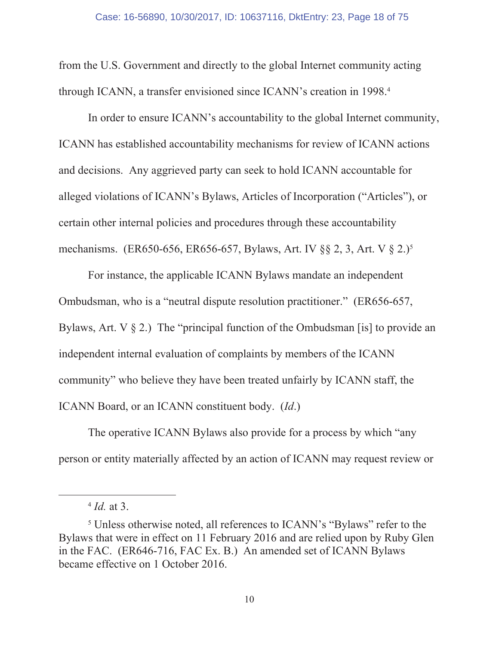from the U.S. Government and directly to the global Internet community acting through ICANN, a transfer envisioned since ICANN's creation in 1998.<sup>4</sup>

In order to ensure ICANN's accountability to the global Internet community, ICANN has established accountability mechanisms for review of ICANN actions and decisions. Any aggrieved party can seek to hold ICANN accountable for alleged violations of ICANN's Bylaws, Articles of Incorporation ("Articles"), or certain other internal policies and procedures through these accountability mechanisms. (ER650-656, ER656-657, Bylaws, Art. IV §§ 2, 3, Art. V § 2.)<sup>5</sup>

For instance, the applicable ICANN Bylaws mandate an independent Ombudsman, who is a "neutral dispute resolution practitioner." (ER656-657, Bylaws, Art. V  $\S$  2.) The "principal function of the Ombudsman [is] to provide an independent internal evaluation of complaints by members of the ICANN community" who believe they have been treated unfairly by ICANN staff, the ICANN Board, or an ICANN constituent body. (Id.)

The operative ICANN Bylaws also provide for a process by which "any" person or entity materially affected by an action of ICANN may request review or

 $4$  *Id.* at 3.

<sup>&</sup>lt;sup>5</sup> Unless otherwise noted, all references to ICANN's "Bylaws" refer to the Bylaws that were in effect on 11 February 2016 and are relied upon by Ruby Glen in the FAC. (ER646-716, FAC Ex. B.) An amended set of ICANN Bylaws became effective on 1 October 2016.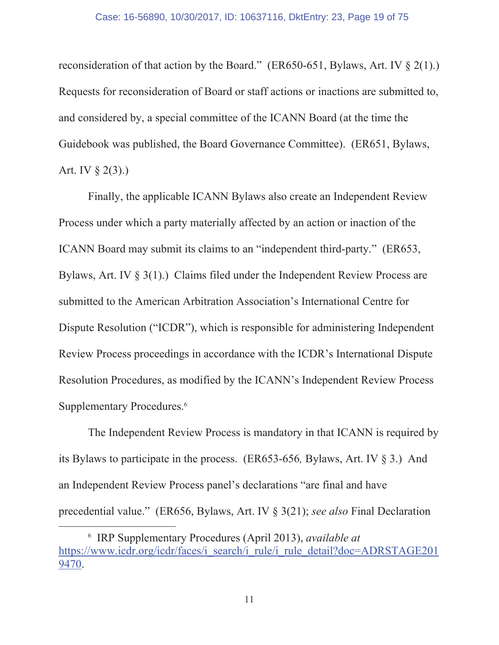reconsideration of that action by the Board." (ER650-651, Bylaws, Art. IV  $\S$  2(1).) Requests for reconsideration of Board or staff actions or inactions are submitted to, and considered by, a special committee of the ICANN Board (at the time the Guidebook was published, the Board Governance Committee). (ER651, Bylaws, Art. IV  $\S$  2(3).)

Finally, the applicable ICANN Bylaws also create an Independent Review Process under which a party materially affected by an action or inaction of the ICANN Board may submit its claims to an "independent third-party." (ER653, Bylaws, Art. IV  $\S$  3(1).) Claims filed under the Independent Review Process are submitted to the American Arbitration Association's International Centre for Dispute Resolution ("ICDR"), which is responsible for administering Independent Review Process proceedings in accordance with the ICDR's International Dispute Resolution Procedures, as modified by the ICANN's Independent Review Process Supplementary Procedures.<sup>6</sup>

The Independent Review Process is mandatory in that ICANN is required by its Bylaws to participate in the process. (ER653-656, Bylaws, Art. IV  $\S$  3.) And an Independent Review Process panel's declarations "are final and have precedential value." (ER656, Bylaws, Art. IV § 3(21); see also Final Declaration

<sup>&</sup>lt;sup>6</sup> IRP Supplementary Procedures (April 2013), *available at* https://www.icdr.org/icdr/faces/i search/i rule/i rule detail?doc=ADRSTAGE201 9470.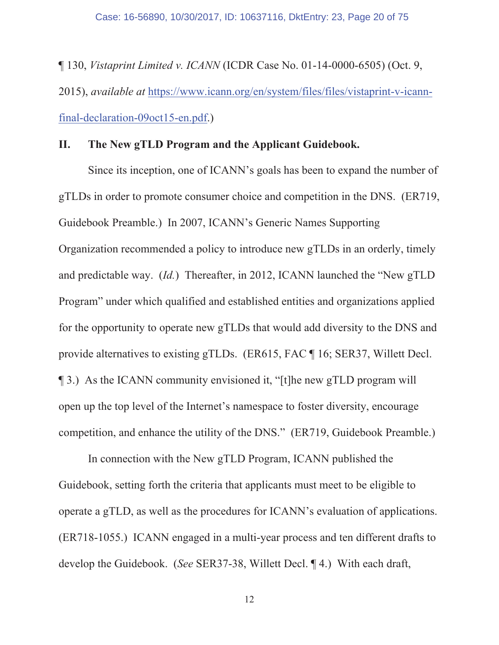$\P$  130, *Vistaprint Limited v. ICANN* (ICDR Case No. 01-14-0000-6505) (Oct. 9, 2015), *available at* https://www.icann.org/en/system/files/files/vistaprint-v-icann $final-declaration-09 oct15-en.pdf.$ 

#### **II.** The New gTLD Program and the Applicant Guidebook.

Since its inception, one of ICANN's goals has been to expand the number of gTLDs in order to promote consumer choice and competition in the DNS. (ER719, Guidebook Preamble.) In 2007, ICANN's Generic Names Supporting Organization recommended a policy to introduce new gTLDs in an orderly, timely and predictable way.  $(Id.)$  Thereafter, in 2012, ICANN launched the "New  $gTLD$ Program" under which qualified and established entities and organizations applied for the opportunity to operate new gTLDs that would add diversity to the DNS and provide alternatives to existing gTLDs. (ER615, FAC  $\P$  16; SER37, Willett Decl.)  $\parallel$  3.) As the ICANN community envisioned it, "[t] t] he new gTLD program will open up the top level of the Internet's namespace to foster diversity, encourage competition, and enhance the utility of the DNS." (ER719, Guidebook Preamble.)

In connection with the New gTLD Program, ICANN published the Guidebook, setting forth the criteria that applicants must meet to be eligible to operate a gTLD, as well as the procedures for ICANN's evaluation of applications.  $(ER718-1055.)$  ICANN engaged in a multi-year process and ten different drafts to develop the Guidebook. (See SER37-38, Willett Decl. 14.) With each draft,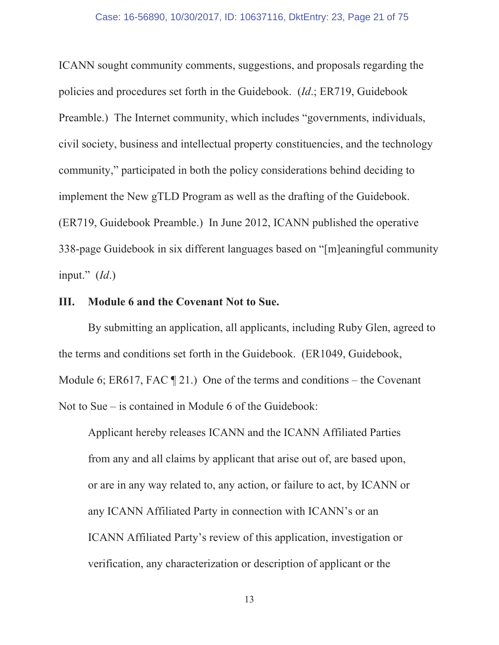ICANN sought community comments, suggestions, and proposals regarding the policies and procedures set forth in the Guidebook. (Id.; ER719, Guidebook Preamble.) The Internet community, which includes "governments, individuals, civil society, business and intellectual property constituencies, and the technology community," participated in both the policy considerations behind deciding to implement the New gTLD Program as well as the drafting of the Guidebook. (ER719, Guidebook Preamble.) In June 2012, ICANN published the operative 338-page Guidebook in six different languages based on "[m]eaningful community input."  $(Id.)$ 

#### Module 6 and the Covenant Not to Sue. Ш.

By submitting an application, all applicants, including Ruby Glen, agreed to the terms and conditions set forth in the Guidebook. (ER1049, Guidebook, Module 6; ER617, FAC  $\P$  21.) One of the terms and conditions – the Covenant Not to Sue  $-$  is contained in Module 6 of the Guidebook:

Applicant hereby releases ICANN and the ICANN Affiliated Parties from any and all claims by applicant that arise out of, are based upon, or are in any way related to, any action, or failure to act, by ICANN or any ICANN Affiliated Party in connection with ICANN's or an ICANN Affiliated Party's review of this application, investigation or verification, any characterization or description of applicant or the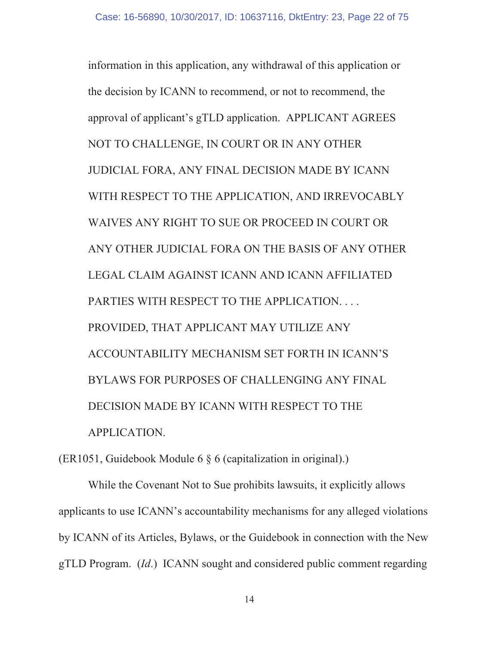information in this application, any withdrawal of this application or the decision by ICANN to recommend, or not to recommend, the approval of applicant's gTLD application. APPLICANT AGREES NOT TO CHALLENGE, IN COURT OR IN ANY OTHER JUDICIAL FORA, ANY FINAL DECISION MADE BY ICANN WITH RESPECT TO THE APPLICATION, AND IRREVOCABLY WAIVES ANY RIGHT TO SUE OR PROCEED IN COURT OR ANY OTHER JUDICIAL FORA ON THE BASIS OF ANY OTHER LEGAL CLAIM AGAINST ICANN AND ICANN AFFILIATED PARTIES WITH RESPECT TO THE APPLICATION.... PROVIDED, THAT APPLICANT MAY UTILIZE ANY ACCOUNTABILITY MECHANISM SET FORTH IN ICANN'S BYLAWS FOR PURPOSES OF CHALLENGING ANY FINAL DECISION MADE BY ICANN WITH RESPECT TO THE APPLICATION.

 $(ER1051, Guidebook Module 6 § 6 (capitalization in original).)$ 

While the Covenant Not to Sue prohibits lawsuits, it explicitly allows applicants to use ICANN's accountability mechanisms for any alleged violations by ICANN of its Articles, Bylaws, or the Guidebook in connection with the New gTLD Program. (Id.) ICANN sought and considered public comment regarding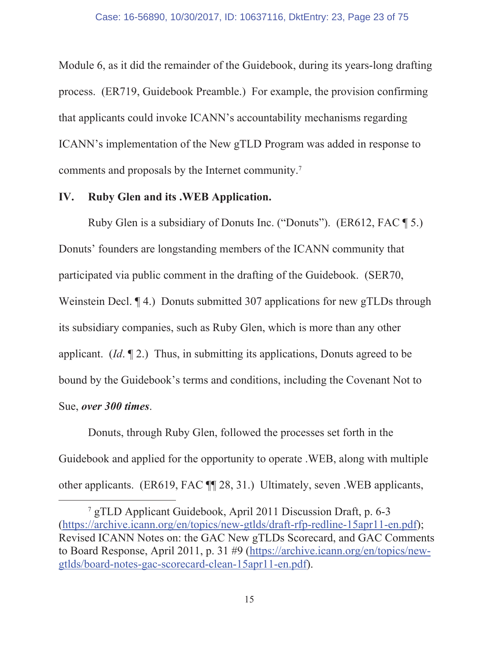Module 6, as it did the remainder of the Guidebook, during its years-long drafting process. (ER719, Guidebook Preamble.) For example, the provision confirming that applicants could invoke ICANN's accountability mechanisms regarding ICANN's implementation of the New gTLD Program was added in response to comments and proposals by the Internet community.<sup>7</sup>

#### IV. **Ruby Glen and its .WEB Application.**

Ruby Glen is a subsidiary of Donuts Inc. ("Donuts"). (ER612, FAC [5.) Donuts' founders are longstanding members of the ICANN community that participated via public comment in the drafting of the Guidebook. (SER70, Weinstein Decl. 14.) Donuts submitted 307 applications for new gTLDs through its subsidiary companies, such as Ruby Glen, which is more than any other applicant. (*Id.*  $\P$ 2.) Thus, in submitting its applications, Donuts agreed to be bound by the Guidebook's terms and conditions, including the Covenant Not to Sue, over 300 times.

Donuts, through Ruby Glen, followed the processes set forth in the Guidebook and applied for the opportunity to operate . WEB, along with multiple other applicants. (ER619, FAC ¶ 28, 31.) Ultimately, seven .WEB applicants,

<sup>&</sup>lt;sup>7</sup> gTLD Applicant Guidebook, April 2011 Discussion Draft, p. 6-3 (https://archive.icann.org/en/topics/new-gtlds/draft-rfp-redline-15apr11-en.pdf); Revised ICANN Notes on: the GAC New gTLDs Scorecard, and GAC Comments to Board Response, April 2011, p. 31 #9 (https://archive.icann.org/en/topics/newgtlds/board-notes-gac-scorecard-clean-15apr11-en.pdf).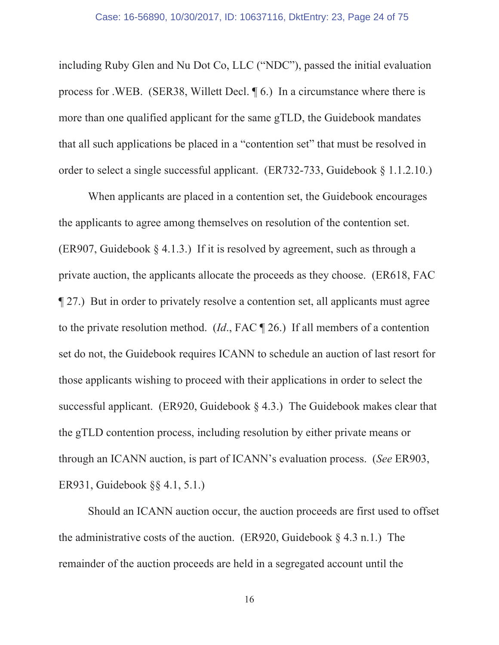including Ruby Glen and Nu Dot Co, LLC ("NDC"), passed the initial evaluation process for .WEB. (SER38, Willett Decl.  $\parallel$  6.) In a circumstance where there is more than one qualified applicant for the same gTLD, the Guidebook mandates that all such applications be placed in a "contention set" that must be resolved in order to select a single successful applicant. (ER732-733, Guidebook  $\S$  1.1.2.10.)

When applicants are placed in a contention set, the Guidebook encourages the applicants to agree among themselves on resolution of the contention set. (ER907, Guidebook § 4.1.3.) If it is resolved by agreement, such as through a private auction, the applicants allocate the proceeds as they choose. (ER618, FAC 127.) But in order to privately resolve a contention set, all applicants must agree to the private resolution method. (*Id.*, FAC  $\P$  26.) If all members of a contention set do not, the Guidebook requires ICANN to schedule an auction of last resort for those applicants wishing to proceed with their applications in order to select the successful applicant. (ER920, Guidebook § 4.3.) The Guidebook makes clear that the gTLD contention process, including resolution by either private means or through an ICANN auction, is part of ICANN's evaluation process. (See ER903, ER931, Guidebook  $\S$  4.1, 5.1.)

Should an ICANN auction occur, the auction proceeds are first used to offset the administrative costs of the auction. (ER920, Guidebook  $\S$  4.3 n.1.) The remainder of the auction proceeds are held in a segregated account until the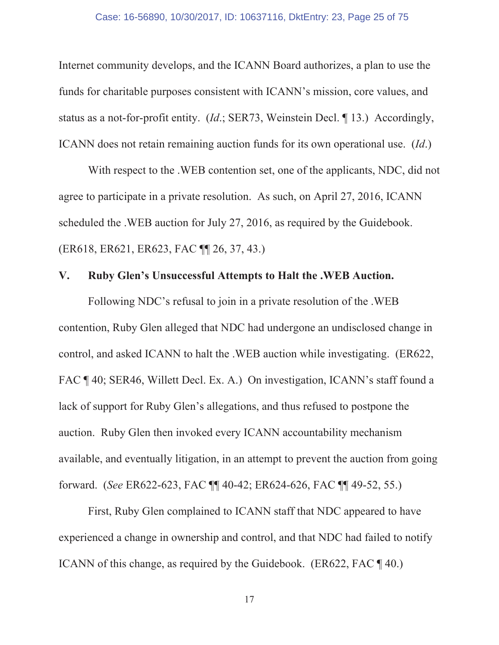Internet community develops, and the ICANN Board authorizes, a plan to use the funds for charitable purposes consistent with ICANN's mission, core values, and status as a not-for-profit entity. (*Id.*; SER73, Weinstein Decl. 13.) Accordingly, ICANN does not retain remaining auction funds for its own operational use. (Id.)

With respect to the .WEB contention set, one of the applicants, NDC, did not agree to participate in a private resolution. As such, on April 27, 2016, ICANN scheduled the .WEB auction for July 27, 2016, as required by the Guidebook. (ER618, ER621, ER623, FAC ¶ 26, 37, 43.)

#### Ruby Glen's Unsuccessful Attempts to Halt the .WEB Auction.  $V_{\cdot}$

Following NDC's refusal to join in a private resolution of the .WEB contention, Ruby Glen alleged that NDC had undergone an undisclosed change in control, and asked ICANN to halt the .WEB auction while investigating. (ER622, FAC ¶ 40; SER46, Willett Decl. Ex. A.) On investigation, ICANN's staff found a lack of support for Ruby Glen's allegations, and thus refused to postpone the auction. Ruby Glen then invoked every ICANN accountability mechanism available, and eventually litigation, in an attempt to prevent the auction from going forward. (See ER622-623, FAC ¶ 40-42; ER624-626, FAC ¶ 49-52, 55.)

First, Ruby Glen complained to ICANN staff that NDC appeared to have experienced a change in ownership and control, and that NDC had failed to notify ICANN of this change, as required by the Guidebook. (ER622, FAC  $\P$  40.)

17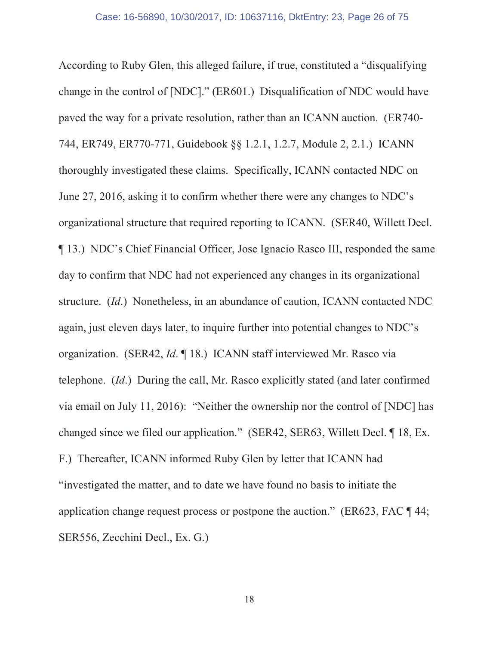According to Ruby Glen, this alleged failure, if true, constituted a "disqualifying" change in the control of [NDC]." (ER601.) Disqualification of NDC would have paved the way for a private resolution, rather than an ICANN auction. (ER740-744, ER749, ER770-771, Guidebook §§ 1.2.1, 1.2.7, Module 2, 2.1.) ICANN thoroughly investigated these claims. Specifically, ICANN contacted NDC on June 27, 2016, asking it to confirm whether there were any changes to NDC's organizational structure that required reporting to ICANN. (SER40, Willett Decl.) 13.) NDC's Chief Financial Officer, Jose Ignacio Rasco III, responded the same day to confirm that NDC had not experienced any changes in its organizational structure. (Id.) Nonetheless, in an abundance of caution, ICANN contacted NDC again, just eleven days later, to inquire further into potential changes to NDC's organization. (SER42, *Id.* 18.) ICANN staff interviewed Mr. Rasco via telephone. *(Id.)* During the call, Mr. Rasco explicitly stated (and later confirmed via email on July 11, 2016): "Neither the ownership nor the control of [NDC] has changed since we filed our application." (SER42, SER63, Willett Decl. ¶ 18, Ex. F.) Thereafter, ICANN informed Ruby Glen by letter that ICANN had "investigated the matter, and to date we have found no basis to initiate the application change request process or postpone the auction." ( $ER623$ ,  $FAC \P 44$ ; SER556, Zecchini Decl., Ex. G.)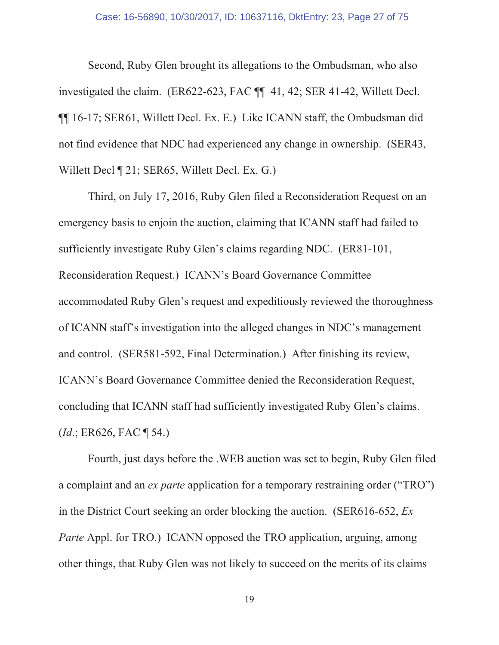Second, Ruby Glen brought its allegations to the Ombudsman, who also investigated the claim. (ER622-623, FAC  $\P$  41, 42; SER 41-42, Willett Decl. **116-17; SER61, Willett Decl. Ex. E.) Like ICANN staff, the Ombudsman did** not find evidence that NDC had experienced any change in ownership. (SER43, Willett Decl ¶ 21; SER65, Willett Decl. Ex. G.)

Third, on July 17, 2016, Ruby Glen filed a Reconsideration Request on an emergency basis to enjoin the auction, claiming that ICANN staff had failed to sufficiently investigate Ruby Glen's claims regarding NDC. (ER81-101, Reconsideration Request.) ICANN's Board Governance Committee accommodated Ruby Glen's request and expeditiously reviewed the thoroughness of ICANN staff's investigation into the alleged changes in NDC's management and control. (SER581-592, Final Determination.) After finishing its review, ICANN's Board Governance Committee denied the Reconsideration Request, concluding that ICANN staff had sufficiently investigated Ruby Glen's claims.  $(Id.: ER626, FAC \P 54.)$ 

Fourth, just days before the .WEB auction was set to begin, Ruby Glen filed a complaint and an ex parte application for a temporary restraining order ("TRO") in the District Court seeking an order blocking the auction. (SER616-652,  $Ex$ ) *Parte* Appl. for TRO.) ICANN opposed the TRO application, arguing, among other things, that Ruby Glen was not likely to succeed on the merits of its claims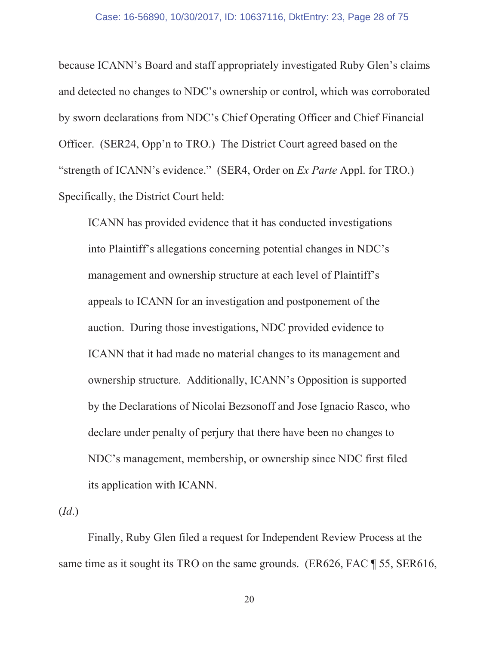because ICANN's Board and staff appropriately investigated Ruby Glen's claims and detected no changes to NDC's ownership or control, which was corroborated by sworn declarations from NDC's Chief Operating Officer and Chief Financial Officer. (SER24, Opp'n to TRO.) The District Court agreed based on the "strength of ICANN's evidence." (SER4, Order on *Ex Parte* Appl. for TRO.) Specifically, the District Court held:

ICANN has provided evidence that it has conducted investigations into Plaintiff's allegations concerning potential changes in NDC's management and ownership structure at each level of Plaintiff's appeals to ICANN for an investigation and postponement of the auction. During those investigations, NDC provided evidence to ICANN that it had made no material changes to its management and ownership structure. Additionally, ICANN's Opposition is supported by the Declarations of Nicolai Bezson of fand Jose Ignacio Rasco, who declare under penalty of perjury that there have been no changes to NDC's management, membership, or ownership since NDC first filed its application with ICANN.

 $(Id.)$ 

Finally, Ruby Glen filed a request for Independent Review Process at the same time as it sought its TRO on the same grounds. (ER626, FAC  $\parallel$  55, SER616,

20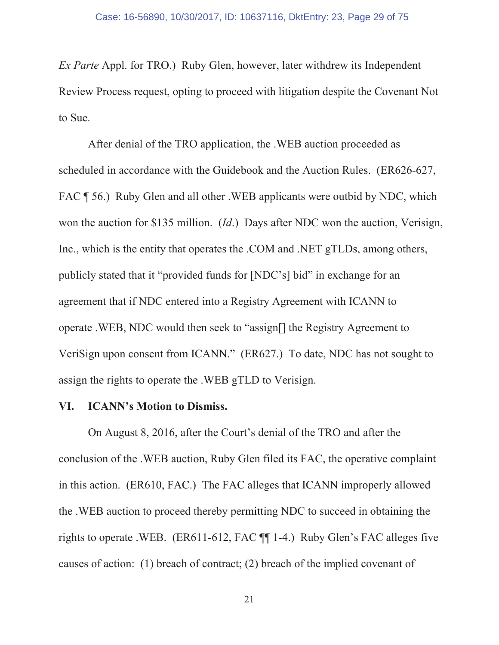*Ex Parte* Appl. for TRO.) Ruby Glen, however, later withdrew its Independent Review Process request, opting to proceed with litigation despite the Covenant Not to Sue.

After denial of the TRO application, the .WEB auction proceeded as scheduled in accordance with the Guidebook and the Auction Rules. (ER626-627, FAC ¶ 56.) Ruby Glen and all other .WEB applicants were outbid by NDC, which won the auction for \$135 million.  $(Id.)$  Days after NDC won the auction, Verisign, Inc., which is the entity that operates the .COM and .NET gTLDs, among others, publicly stated that it "provided funds for [NDC's] bid" in exchange for an agreement that if NDC entered into a Registry Agreement with ICANN to operate . WEB, NDC would then seek to "assign[] the Registry Agreement to VeriSign upon consent from ICANN." (ER627.) To date, NDC has not sought to assign the rights to operate the . WEB gTLD to Verisign.

#### VI. **ICANN's Motion to Dismiss.**

On August 8, 2016, after the Court's denial of the TRO and after the conclusion of the .WEB auction, Ruby Glen filed its FAC, the operative complaint in this action. (ER610, FAC.) The FAC alleges that ICANN improperly allowed the .WEB auction to proceed thereby permitting NDC to succeed in obtaining the rights to operate .WEB. (ER611-612, FAC  $\P$ [1-4.) Ruby Glen's FAC alleges five causes of action: (1) breach of contract; (2) breach of the implied covenant of

21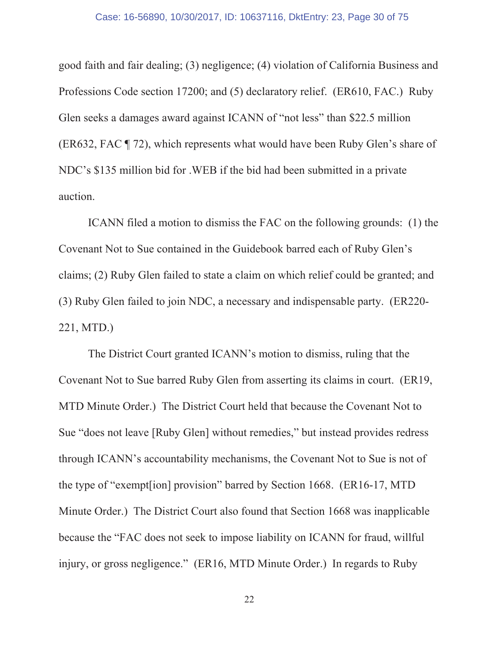good faith and fair dealing; (3) negligence; (4) violation of California Business and Professions Code section 17200; and (5) declaratory relief. (ER610, FAC.) Ruby Glen seeks a damages award against ICANN of "not less" than \$22.5 million (ER632, FAC \[I 72), which represents what would have been Ruby Glen's share of NDC's \$135 million bid for .WEB if the bid had been submitted in a private auction.

ICANN filed a motion to dismiss the FAC on the following grounds: (1) the Covenant Not to Sue contained in the Guidebook barred each of Ruby Glen's claims; (2) Ruby Glen failed to state a claim on which relief could be granted; and (3) Ruby Glen failed to join NDC, a necessary and indispensable party. (ER220-221, MTD.)

The District Court granted ICANN's motion to dismiss, ruling that the Covenant Not to Sue barred Ruby Glen from asserting its claims in court. (ER19, MTD Minute Order.) The District Court held that because the Covenant Not to Sue "does not leave [Ruby Glen] without remedies," but instead provides redress through ICANN's accountability mechanisms, the Covenant Not to Sue is not of the type of "exempt [ion] provision" barred by Section 1668. (ER16-17, MTD) Minute Order.) The District Court also found that Section 1668 was inapplicable because the "FAC does not seek to impose liability on ICANN for fraud, willful injury, or gross negligence." (ER16, MTD Minute Order.) In regards to Ruby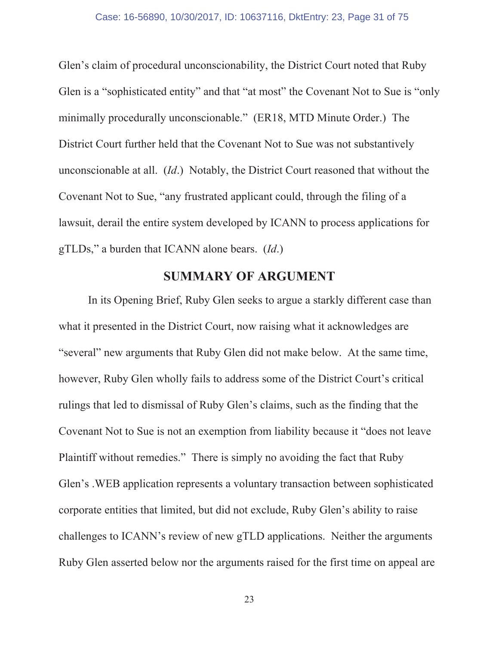Glen's claim of procedural unconscionability, the District Court noted that Ruby Glen is a "sophisticated entity" and that "at most" the Covenant Not to Sue is "only minimally procedurally unconscionable." (ER18, MTD Minute Order.) The District Court further held that the Covenant Not to Sue was not substantively unconscionable at all. *(Id.)* Notably, the District Court reasoned that without the Covenant Not to Sue, "any frustrated applicant could, through the filing of a lawsuit, derail the entire system developed by ICANN to process applications for  $gTLDs$ ," a burden that ICANN alone bears. (*Id.*)

### **SUMMARY OF ARGUMENT**

In its Opening Brief, Ruby Glen seeks to argue a starkly different case than what it presented in the District Court, now raising what it acknowledges are "several" new arguments that Ruby Glen did not make below. At the same time, however, Ruby Glen wholly fails to address some of the District Court's critical rulings that led to dismissal of Ruby Glen's claims, such as the finding that the Covenant Not to Sue is not an exemption from liability because it "does not leave" Plaintiff without remedies." There is simply no avoiding the fact that Ruby Glen's . WEB application represents a voluntary transaction between sophisticated corporate entities that limited, but did not exclude, Ruby Glen's ability to raise challenges to ICANN's review of new gTLD applications. Neither the arguments Ruby Glen asserted below nor the arguments raised for the first time on appeal are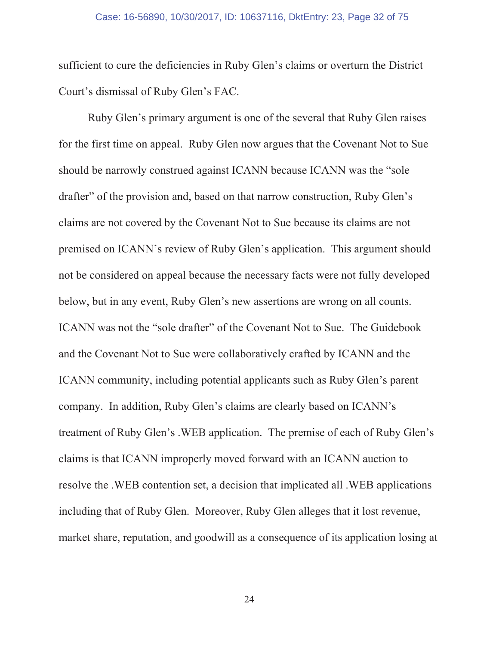#### Case: 16-56890, 10/30/2017, ID: 10637116, DktEntry: 23, Page 32 of 75

sufficient to cure the deficiencies in Ruby Glen's claims or overturn the District Court's dismissal of Ruby Glen's FAC.

Ruby Glen's primary argument is one of the several that Ruby Glen raises for the first time on appeal. Ruby Glen now argues that the Covenant Not to Sue should be narrowly construed against ICANN because ICANN was the "sole" drafter" of the provision and, based on that narrow construction, Ruby Glen's claims are not covered by the Covenant Not to Sue because its claims are not premised on ICANN's review of Ruby Glen's application. This argument should not be considered on appeal because the necessary facts were not fully developed below, but in any event, Ruby Glen's new assertions are wrong on all counts. ICANN was not the "sole drafter" of the Covenant Not to Sue. The Guidebook and the Covenant Not to Sue were collaboratively crafted by ICANN and the ICANN community, including potential applicants such as Ruby Glen's parent company. In addition, Ruby Glen's claims are clearly based on ICANN's treatment of Ruby Glen's .WEB application. The premise of each of Ruby Glen's claims is that ICANN improperly moved forward with an ICANN auction to resolve the .WEB contention set, a decision that implicated all .WEB applications including that of Ruby Glen. Moreover, Ruby Glen alleges that it lost revenue, market share, reputation, and goodwill as a consequence of its application losing at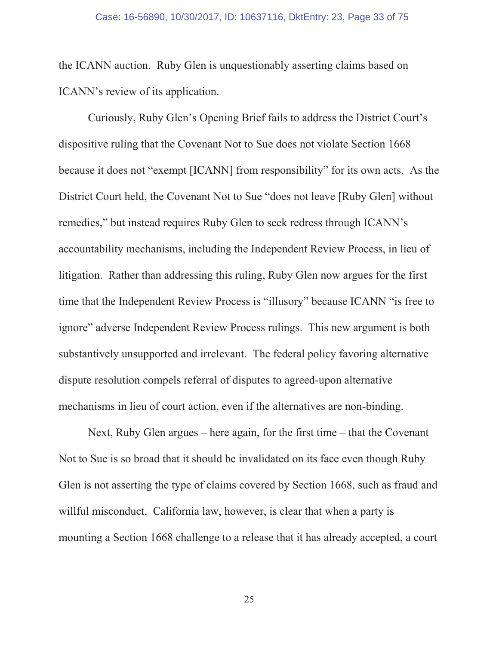the ICANN auction. Ruby Glen is unquestionably asserting claims based on ICANN's review of its application.

Curiously, Ruby Glen's Opening Brief fails to address the District Court's dispositive ruling that the Covenant Not to Sue does not violate Section 1668 because it does not "exempt [ICANN] from responsibility" for its own acts. As the District Court held, the Covenant Not to Sue "does not leave [Ruby Glen] without remedies," but instead requires Ruby Glen to seek redress through ICANN's accountability mechanisms, including the Independent Review Process, in lieu of litigation. Rather than addressing this ruling, Ruby Glen now argues for the first time that the Independent Review Process is "illusory" because ICANN "is free to ignore" adverse Independent Review Process rulings. This new argument is both substantively unsupported and irrelevant. The federal policy favoring alternative dispute resolution compels referral of disputes to agreed-upon alternative mechanisms in lieu of court action, even if the alternatives are non-binding.

Next, Ruby Glen argues – here again, for the first time – that the Covenant Not to Sue is so broad that it should be invalidated on its face even though Ruby Glen is not asserting the type of claims covered by Section 1668, such as fraud and willful misconduct. California law, however, is clear that when a party is mounting a Section 1668 challenge to a release that it has already accepted, a court

25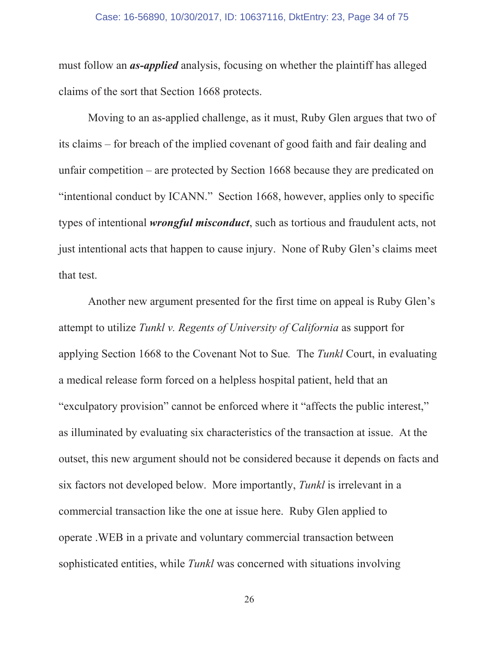#### Case: 16-56890, 10/30/2017, ID: 10637116, DktEntry: 23, Page 34 of 75

must follow an *as-applied* analysis, focusing on whether the plaintiff has alleged claims of the sort that Section 1668 protects.

Moving to an as-applied challenge, as it must, Ruby Glen argues that two of its claims – for breach of the implied covenant of good faith and fair dealing and unfair competition – are protected by Section 1668 because they are predicated on "intentional conduct by ICANN." Section 1668, however, applies only to specific types of intentional *wrongful misconduct*, such as tortious and fraudulent acts, not just intentional acts that happen to cause injury. None of Ruby Glen's claims meet that test.

Another new argument presented for the first time on appeal is Ruby Glen's attempt to utilize Tunkl v. Regents of University of California as support for applying Section 1668 to the Covenant Not to Sue. The Tunkl Court, in evaluating a medical release form forced on a helpless hospital patient, held that an "exculpatory provision" cannot be enforced where it "affects the public interest," as illuminated by evaluating six characteristics of the transaction at issue. At the outset, this new argument should not be considered because it depends on facts and six factors not developed below. More importantly, *Tunkl* is irrelevant in a commercial transaction like the one at issue here. Ruby Glen applied to operate . WEB in a private and voluntary commercial transaction between sophisticated entities, while *Tunkl* was concerned with situations involving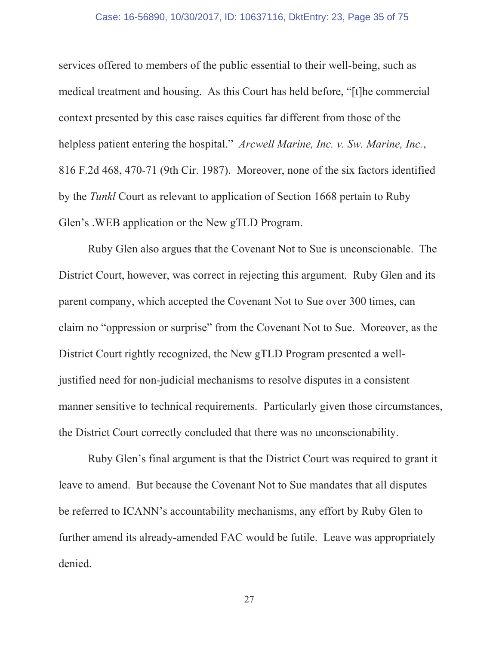#### Case: 16-56890, 10/30/2017, ID: 10637116, DktEntry: 23, Page 35 of 75

services offered to members of the public essential to their well-being, such as medical treatment and housing. As this Court has held before, "[t] he commercial context presented by this case raises equities far different from those of the helpless patient entering the hospital." Arcwell Marine, Inc. v. Sw. Marine, Inc., 816 F.2d 468, 470-71 (9th Cir. 1987). Moreover, none of the six factors identified by the *Tunkl* Court as relevant to application of Section 1668 pertain to Ruby Glen's . WEB application or the New gTLD Program.

Ruby Glen also argues that the Covenant Not to Sue is unconscionable. The District Court, however, was correct in rejecting this argument. Ruby Glen and its parent company, which accepted the Covenant Not to Sue over 300 times, can claim no "oppression or surprise" from the Covenant Not to Sue. Moreover, as the District Court rightly recognized, the New gTLD Program presented a welljustified need for non-judicial mechanisms to resolve disputes in a consistent manner sensitive to technical requirements. Particularly given those circumstances, the District Court correctly concluded that there was no unconscionability.

Ruby Glen's final argument is that the District Court was required to grant it leave to amend. But because the Covenant Not to Sue mandates that all disputes be referred to ICANN's accountability mechanisms, any effort by Ruby Glen to further amend its already-amended FAC would be futile. Leave was appropriately denied.

27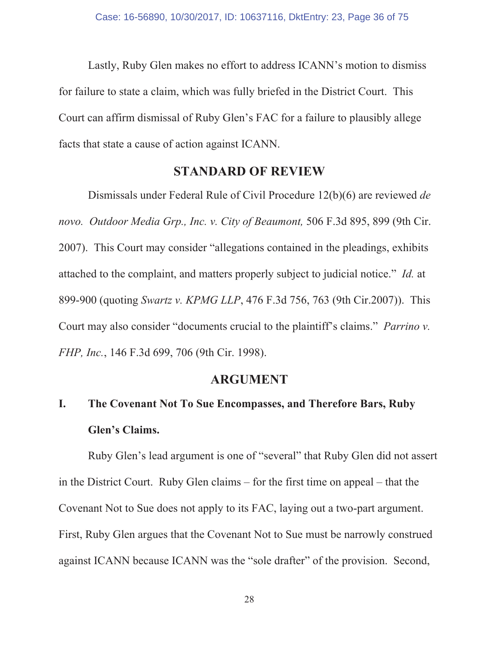Lastly, Ruby Glen makes no effort to address ICANN's motion to dismiss for failure to state a claim, which was fully briefed in the District Court. This Court can affirm dismissal of Ruby Glen's FAC for a failure to plausibly allege facts that state a cause of action against ICANN.

### **STANDARD OF REVIEW**

Dismissals under Federal Rule of Civil Procedure 12(b)(6) are reviewed de novo. Outdoor Media Grp., Inc. v. City of Beaumont, 506 F.3d 895, 899 (9th Cir. 2007). This Court may consider "allegations contained in the pleadings, exhibits attached to the complaint, and matters properly subject to judicial notice." Id. at 899-900 (quoting Swartz v. KPMG LLP, 476 F.3d 756, 763 (9th Cir.2007)). This Court may also consider "documents crucial to the plaintiff's claims." Parrino v. FHP, Inc., 146 F.3d 699, 706 (9th Cir. 1998).

#### **ARGUMENT**

#### $\mathbf{I}$ . The Covenant Not To Sue Encompasses, and Therefore Bars, Ruby Glen's Claims.

Ruby Glen's lead argument is one of "several" that Ruby Glen did not assert in the District Court. Ruby Glen claims  $-$  for the first time on appeal  $-$  that the Covenant Not to Sue does not apply to its FAC, laying out a two-part argument. First, Ruby Glen argues that the Covenant Not to Sue must be narrowly construed against ICANN because ICANN was the "sole drafter" of the provision. Second,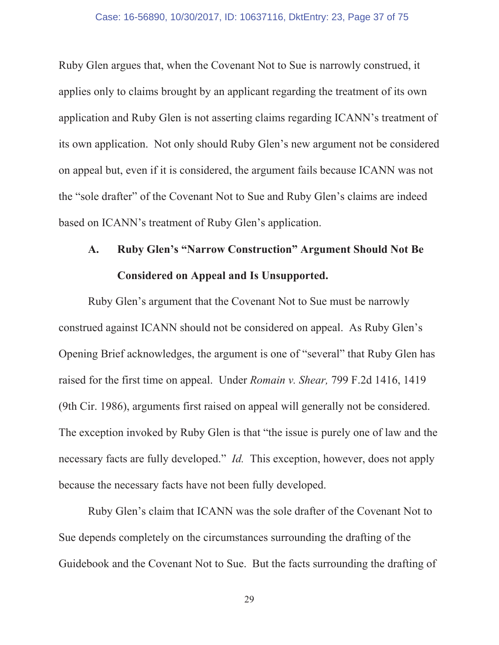### Case: 16-56890, 10/30/2017, ID: 10637116, DktEntry: 23, Page 37 of 75

Ruby Glen argues that, when the Covenant Not to Sue is narrowly construed, it applies only to claims brought by an applicant regarding the treatment of its own application and Ruby Glen is not asserting claims regarding ICANN's treatment of its own application. Not only should Ruby Glen's new argument not be considered on appeal but, even if it is considered, the argument fails because ICANN was not the "sole drafter" of the Covenant Not to Sue and Ruby Glen's claims are indeed based on ICANN's treatment of Ruby Glen's application.

# **Ruby Glen's "Narrow Construction" Argument Should Not Be**  $\mathbf{A}$ . **Considered on Appeal and Is Unsupported.**

Ruby Glen's argument that the Covenant Not to Sue must be narrowly construed against ICANN should not be considered on appeal. As Ruby Glen's Opening Brief acknowledges, the argument is one of "several" that Ruby Glen has raised for the first time on appeal. Under Romain v. Shear, 799 F.2d 1416, 1419 (9th Cir. 1986), arguments first raised on appeal will generally not be considered. The exception invoked by Ruby Glen is that "the issue is purely one of law and the necessary facts are fully developed." *Id.* This exception, however, does not apply because the necessary facts have not been fully developed.

Ruby Glen's claim that ICANN was the sole drafter of the Covenant Not to Sue depends completely on the circumstances surrounding the drafting of the Guidebook and the Covenant Not to Sue. But the facts surrounding the drafting of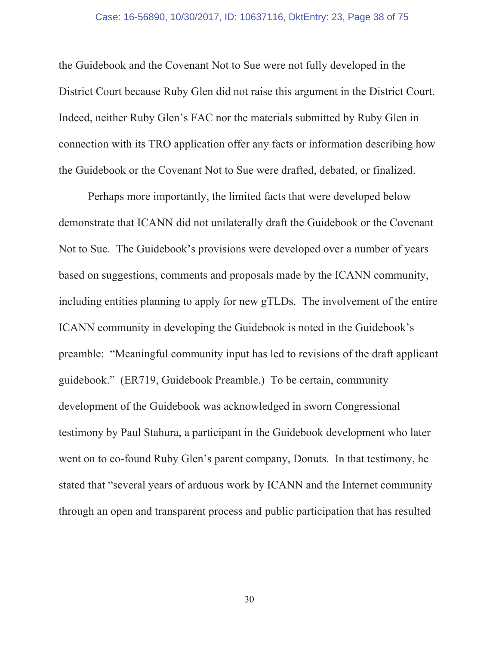### Case: 16-56890, 10/30/2017, ID: 10637116, DktEntry: 23, Page 38 of 75

the Guidebook and the Covenant Not to Sue were not fully developed in the District Court because Ruby Glen did not raise this argument in the District Court. Indeed, neither Ruby Glen's FAC nor the materials submitted by Ruby Glen in connection with its TRO application offer any facts or information describing how the Guidebook or the Covenant Not to Sue were drafted, debated, or finalized.

Perhaps more importantly, the limited facts that were developed below demonstrate that ICANN did not unilaterally draft the Guidebook or the Covenant Not to Sue. The Guidebook's provisions were developed over a number of years based on suggestions, comments and proposals made by the ICANN community, including entities planning to apply for new gTLDs. The involvement of the entire ICANN community in developing the Guidebook is noted in the Guidebook's preamble: "Meaningful community input has led to revisions of the draft applicant guidebook." (ER719, Guidebook Preamble.) To be certain, community development of the Guidebook was acknowledged in sworn Congressional testimony by Paul Stahura, a participant in the Guidebook development who later went on to co-found Ruby Glen's parent company, Donuts. In that testimony, he stated that "several years of arduous work by ICANN and the Internet community through an open and transparent process and public participation that has resulted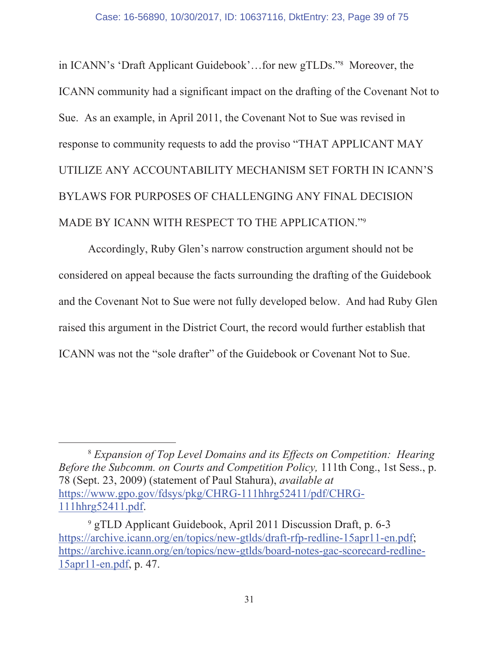in ICANN's 'Draft Applicant Guidebook'...for new gTLDs."<sup>8</sup> Moreover, the ICANN community had a significant impact on the drafting of the Covenant Not to Sue. As an example, in April 2011, the Covenant Not to Sue was revised in response to community requests to add the proviso "THAT APPLICANT MAY UTILIZE ANY ACCOUNTABILITY MECHANISM SET FORTH IN ICANN'S BYLAWS FOR PURPOSES OF CHALLENGING ANY FINAL DECISION MADE BY ICANN WITH RESPECT TO THE APPLICATION."9

Accordingly, Ruby Glen's narrow construction argument should not be considered on appeal because the facts surrounding the drafting of the Guidebook and the Covenant Not to Sue were not fully developed below. And had Ruby Glen raised this argument in the District Court, the record would further establish that ICANN was not the "sole drafter" of the Guidebook or Covenant Not to Sue.

<sup>&</sup>lt;sup>8</sup> Expansion of Top Level Domains and its Effects on Competition: Hearing Before the Subcomm. on Courts and Competition Policy, 111th Cong., 1st Sess., p. 78 (Sept. 23, 2009) (statement of Paul Stahura), *available at* https://www.gpo.gov/fdsys/pkg/CHRG-111hhrg52411/pdf/CHRG-111hhrg52411.pdf.

<sup>&</sup>lt;sup>9</sup> gTLD Applicant Guidebook, April 2011 Discussion Draft, p. 6-3 https://archive.icann.org/en/topics/new-gtlds/draft-rfp-redline-15apr11-en.pdf; https://archive.icann.org/en/topics/new-gtlds/board-notes-gac-scorecard-redline-15apr11-en.pdf, p. 47.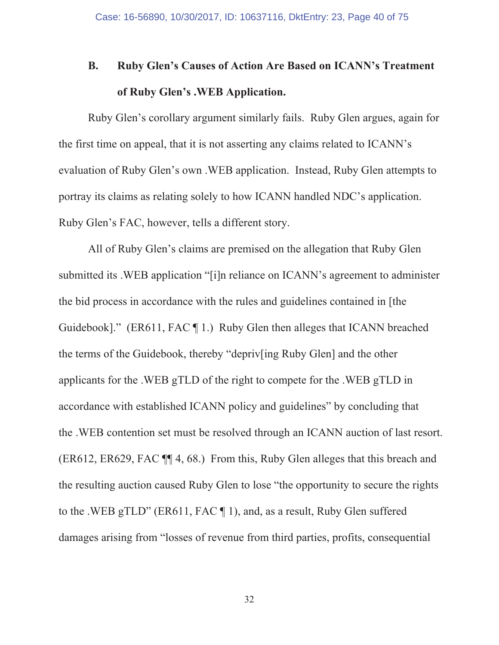## **B. Ruby Glen's Causes of Action Are Based on ICANN's Treatment** of Ruby Glen's .WEB Application.

Ruby Glen's corollary argument similarly fails. Ruby Glen argues, again for the first time on appeal, that it is not asserting any claims related to ICANN's evaluation of Ruby Glen's own . WEB application. Instead, Ruby Glen attempts to portray its claims as relating solely to how ICANN handled NDC's application. Ruby Glen's FAC, however, tells a different story.

All of Ruby Glen's claims are premised on the allegation that Ruby Glen submitted its . WEB application "[i]n reliance on ICANN's agreement to administer the bid process in accordance with the rules and guidelines contained in [the Guidebook]." (ER611, FAC  $\P$  1.) Ruby Glen then alleges that ICANN breached the terms of the Guidebook, thereby "depriv ing Ruby Glen] and the other applicants for the .WEB gTLD of the right to compete for the .WEB gTLD in accordance with established ICANN policy and guidelines" by concluding that the .WEB contention set must be resolved through an ICANN auction of last resort.  $(ER612, ER629, FACT M 4, 68.)$  From this, Ruby Glen alleges that this breach and the resulting auction caused Ruby Glen to lose "the opportunity to secure the rights" to the .WEB gTLD" (ER611, FAC  $\P$  1), and, as a result, Ruby Glen suffered damages arising from "losses of revenue from third parties, profits, consequential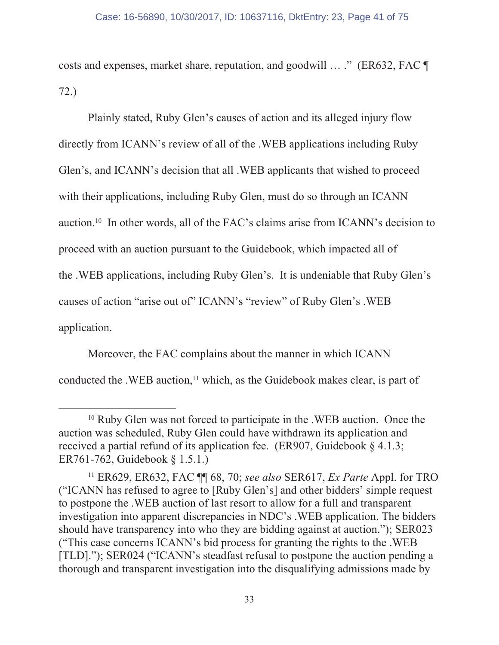costs and expenses, market share, reputation, and goodwill ... ." (ER632, FAC ¶  $72.)$ 

Plainly stated, Ruby Glen's causes of action and its alleged injury flow directly from ICANN's review of all of the .WEB applications including Ruby Glen's, and ICANN's decision that all . WEB applicants that wished to proceed with their applications, including Ruby Glen, must do so through an ICANN auction.<sup>10</sup> In other words, all of the FAC's claims arise from ICANN's decision to proceed with an auction pursuant to the Guidebook, which impacted all of the .WEB applications, including Ruby Glen's. It is undeniable that Ruby Glen's causes of action "arise out of" ICANN's "review" of Ruby Glen's .WEB application.

Moreover, the FAC complains about the manner in which ICANN conducted the .WEB auction,<sup>11</sup> which, as the Guidebook makes clear, is part of

<sup>&</sup>lt;sup>10</sup> Ruby Glen was not forced to participate in the .WEB auction. Once the auction was scheduled, Ruby Glen could have withdrawn its application and received a partial refund of its application fee. (ER907, Guidebook  $\S$  4.1.3; ER761-762, Guidebook § 1.5.1.)

<sup>&</sup>lt;sup>11</sup> ER629, ER632, FAC  $\P$  68, 70; see also SER617, *Ex Parte* Appl. for TRO ("ICANN has refused to agree to [Ruby Glen's] and other bidders' simple request to postpone the .WEB auction of last resort to allow for a full and transparent investigation into apparent discrepancies in NDC's . WEB application. The bidders should have transparency into who they are bidding against at auction."); SER023 ("This case concerns ICANN's bid process for granting the rights to the .WEB [TLD]."); SER024 ("ICANN's steadfast refusal to postpone the auction pending a thorough and transparent investigation into the disqualifying admissions made by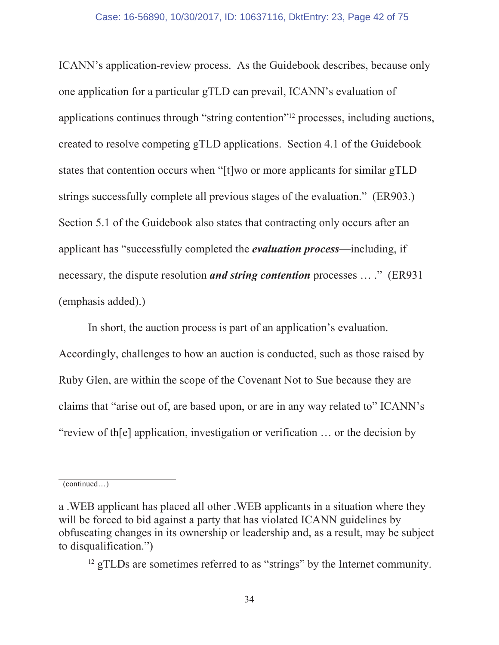ICANN's application-review process. As the Guidebook describes, because only one application for a particular gTLD can prevail, ICANN's evaluation of applications continues through "string contention"<sup>12</sup> processes, including auctions, created to resolve competing gTLD applications. Section 4.1 of the Guidebook states that contention occurs when "[t] wo or more applicants for similar gTLD strings successfully complete all previous stages of the evaluation." (ER903.) Section 5.1 of the Guidebook also states that contracting only occurs after an applicant has "successfully completed the *evaluation process*—including, if necessary, the dispute resolution *and string contention* processes ...." (ER931) (emphasis added).)

In short, the auction process is part of an application's evaluation. Accordingly, challenges to how an auction is conducted, such as those raised by Ruby Glen, are within the scope of the Covenant Not to Sue because they are claims that "arise out of, are based upon, or are in any way related to" ICANN's "review of the application, investigation or verification ... or the decision by

 $(continued...)$ 

a. WEB applicant has placed all other. WEB applicants in a situation where they will be forced to bid against a party that has violated ICANN guidelines by obfuscating changes in its ownership or leadership and, as a result, may be subject to disqualification.")

 $^{12}$  gTLDs are sometimes referred to as "strings" by the Internet community.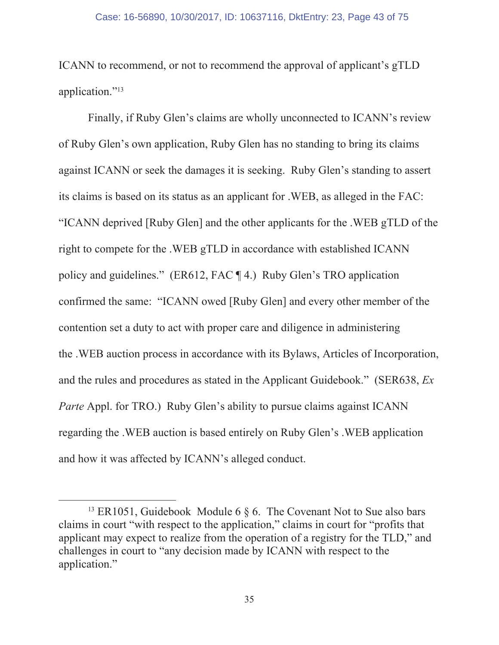ICANN to recommend, or not to recommend the approval of applicant's gTLD application."<sup>13</sup>

Finally, if Ruby Glen's claims are wholly unconnected to ICANN's review of Ruby Glen's own application, Ruby Glen has no standing to bring its claims against ICANN or seek the damages it is seeking. Ruby Glen's standing to assert its claims is based on its status as an applicant for . WEB, as alleged in the FAC: "ICANN deprived [Ruby Glen] and the other applicants for the .WEB gTLD of the right to compete for the .WEB gTLD in accordance with established ICANN policy and guidelines." (ER612, FAC  $\P$ 4.) Ruby Glen's TRO application confirmed the same: "ICANN owed [Ruby Glen] and every other member of the contention set a duty to act with proper care and diligence in administering the .WEB auction process in accordance with its Bylaws, Articles of Incorporation, and the rules and procedures as stated in the Applicant Guidebook." (SER638, *Ex Parte* Appl. for TRO.) Ruby Glen's ability to pursue claims against ICANN regarding the . WEB auction is based entirely on Ruby Glen's . WEB application and how it was affected by ICANN's alleged conduct.

<sup>&</sup>lt;sup>13</sup> ER1051, Guidebook Module 6  $\delta$  6. The Covenant Not to Sue also bars claims in court "with respect to the application," claims in court for "profits that applicant may expect to realize from the operation of a registry for the TLD," and challenges in court to "any decision made by ICANN with respect to the application."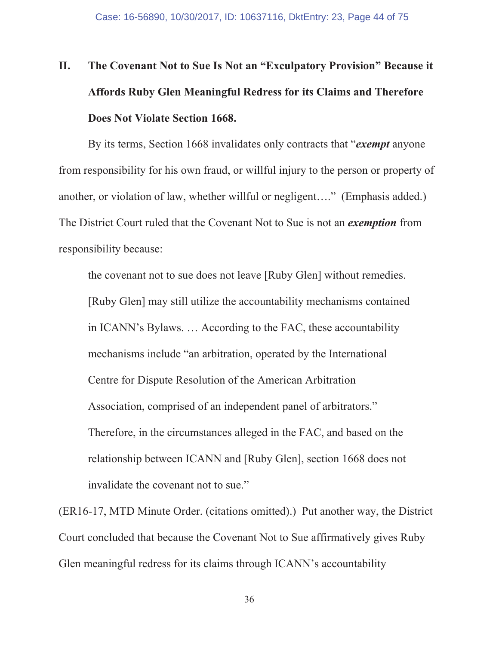# The Covenant Not to Sue Is Not an "Exculpatory Provision" Because it П. Affords Ruby Glen Meaningful Redress for its Claims and Therefore Does Not Violate Section 1668.

By its terms, Section 1668 invalidates only contracts that "exempt anyone" from responsibility for his own fraud, or will full injury to the person or property of another, or violation of law, whether willful or negligent...." (Emphasis added.) The District Court ruled that the Covenant Not to Sue is not an *exemption* from responsibility because:

the covenant not to sue does not leave [Ruby Glen] without remedies. [Ruby Glen] may still utilize the accountability mechanisms contained in ICANN's Bylaws.... According to the FAC, these accountability mechanisms include "an arbitration, operated by the International Centre for Dispute Resolution of the American Arbitration Association, comprised of an independent panel of arbitrators." Therefore, in the circumstances alleged in the FAC, and based on the relationship between ICANN and [Ruby Glen], section 1668 does not invalidate the covenant not to sue."

(ER16-17, MTD Minute Order. (citations omitted).) Put another way, the District Court concluded that because the Covenant Not to Sue affirmatively gives Ruby Glen meaningful redress for its claims through ICANN's accountability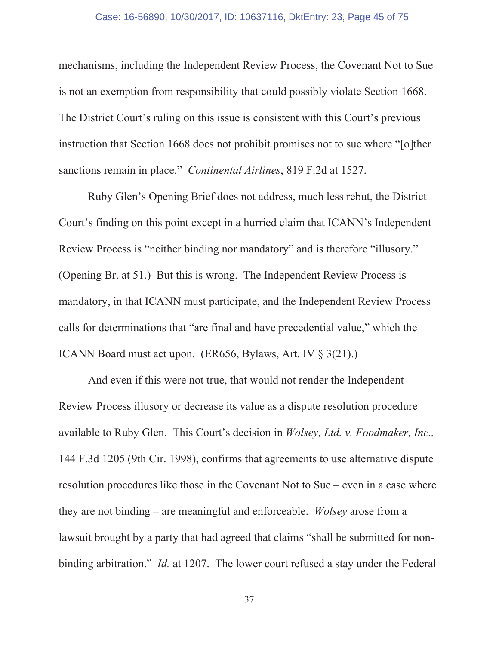mechanisms, including the Independent Review Process, the Covenant Not to Sue is not an exemption from responsibility that could possibly violate Section 1668. The District Court's ruling on this issue is consistent with this Court's previous instruction that Section 1668 does not prohibit promises not to sue where "[o]ther sanctions remain in place." Continental Airlines, 819 F.2d at 1527.

Ruby Glen's Opening Brief does not address, much less rebut, the District Court's finding on this point except in a hurried claim that ICANN's Independent Review Process is "neither binding nor mandatory" and is therefore "illusory." (Opening Br. at 51.) But this is wrong. The Independent Review Process is mandatory, in that ICANN must participate, and the Independent Review Process calls for determinations that "are final and have precedential value," which the ICANN Board must act upon. (ER656, Bylaws, Art. IV  $\S$  3(21).)

And even if this were not true, that would not render the Independent Review Process illusory or decrease its value as a dispute resolution procedure available to Ruby Glen. This Court's decision in Wolsey, Ltd. v. Foodmaker, Inc., 144 F.3d 1205 (9th Cir. 1998), confirms that agreements to use alternative dispute resolution procedures like those in the Covenant Not to Sue – even in a case where they are not binding – are meaningful and enforceable. *Wolsey* arose from a lawsuit brought by a party that had agreed that claims "shall be submitted for nonbinding arbitration." *Id.* at 1207. The lower court refused a stay under the Federal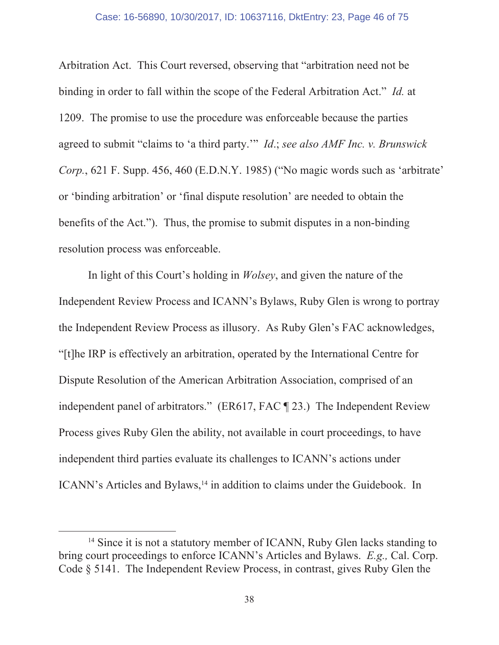Arbitration Act. This Court reversed, observing that "arbitration need not be binding in order to fall within the scope of the Federal Arbitration Act." *Id.* at 1209. The promise to use the procedure was enforceable because the parties agreed to submit "claims to 'a third party." *Id.*; see also AMF Inc. v. Brunswick Corp., 621 F. Supp. 456, 460 (E.D.N.Y. 1985) ("No magic words such as 'arbitrate' or 'binding arbitration' or 'final dispute resolution' are needed to obtain the benefits of the Act."). Thus, the promise to submit disputes in a non-binding resolution process was enforceable.

In light of this Court's holding in *Wolsey*, and given the nature of the Independent Review Process and ICANN's Bylaws, Ruby Glen is wrong to portray the Independent Review Process as illusory. As Ruby Glen's FAC acknowledges, "[t] he IRP is effectively an arbitration, operated by the International Centre for Dispute Resolution of the American Arbitration Association, comprised of an independent panel of arbitrators." (ER617, FAC ¶ 23.) The Independent Review Process gives Ruby Glen the ability, not available in court proceedings, to have independent third parties evaluate its challenges to ICANN's actions under ICANN's Articles and Bylaws,<sup>14</sup> in addition to claims under the Guidebook. In

<sup>&</sup>lt;sup>14</sup> Since it is not a statutory member of ICANN, Ruby Glen lacks standing to bring court proceedings to enforce ICANN's Articles and Bylaws. E.g., Cal. Corp. Code § 5141. The Independent Review Process, in contrast, gives Ruby Glen the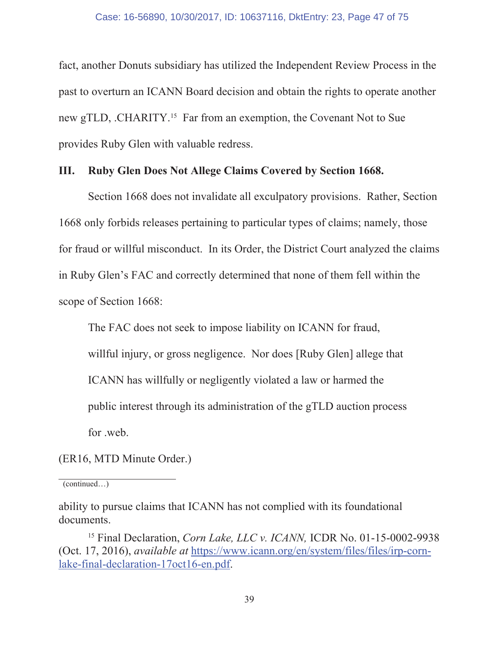fact, another Donuts subsidiary has utilized the Independent Review Process in the past to overturn an ICANN Board decision and obtain the rights to operate another new gTLD, .CHARITY.<sup>15</sup> Far from an exemption, the Covenant Not to Sue provides Ruby Glen with valuable redress.

#### Ш. Ruby Glen Does Not Allege Claims Covered by Section 1668.

Section 1668 does not invalidate all exculpatory provisions. Rather, Section 1668 only forbids releases pertaining to particular types of claims; namely, those for fraud or willful misconduct. In its Order, the District Court analyzed the claims in Ruby Glen's FAC and correctly determined that none of them fell within the scope of Section 1668:

The FAC does not seek to impose liability on ICANN for fraud,

willful injury, or gross negligence. Nor does [Ruby Glen] allege that

ICANN has willfully or negligently violated a law or harmed the

public interest through its administration of the gTLD auction process

for .web.

(ER16, MTD Minute Order.)

 $(continued...)$ 

ability to pursue claims that ICANN has not complied with its foundational documents.

<sup>&</sup>lt;sup>15</sup> Final Declaration, *Corn Lake, LLC v. ICANN*, ICDR No. 01-15-0002-9938 (Oct. 17, 2016), *available at https://www.icann.org/en/system/files/files/irp-corn*lake-final-declaration-17oct16-en.pdf.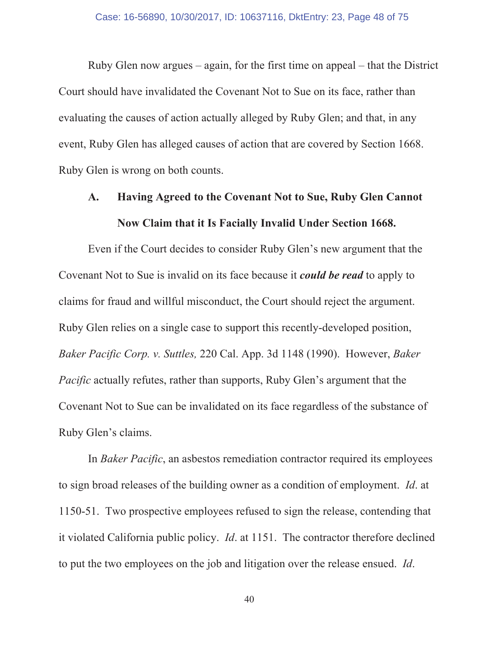Ruby Glen now argues  $-$  again, for the first time on appeal  $-$  that the District Court should have invalidated the Covenant Not to Sue on its face, rather than evaluating the causes of action actually alleged by Ruby Glen; and that, in any event, Ruby Glen has alleged causes of action that are covered by Section 1668. Ruby Glen is wrong on both counts.

# $\mathbf{A}$ . Having Agreed to the Covenant Not to Sue, Ruby Glen Cannot Now Claim that it Is Facially Invalid Under Section 1668.

Even if the Court decides to consider Ruby Glen's new argument that the Covenant Not to Sue is invalid on its face because it *could be read* to apply to claims for fraud and willful misconduct, the Court should reject the argument. Ruby Glen relies on a single case to support this recently-developed position, Baker Pacific Corp. v. Suttles, 220 Cal. App. 3d 1148 (1990). However, Baker *Pacific* actually refutes, rather than supports, Ruby Glen's argument that the Covenant Not to Sue can be invalidated on its face regardless of the substance of Ruby Glen's claims.

In *Baker Pacific*, an asbestos remediation contractor required its employees to sign broad releases of the building owner as a condition of employment. *Id.* at 1150-51. Two prospective employees refused to sign the release, contending that it violated California public policy. *Id.* at 1151. The contractor therefore declined to put the two employees on the job and litigation over the release ensued. Id.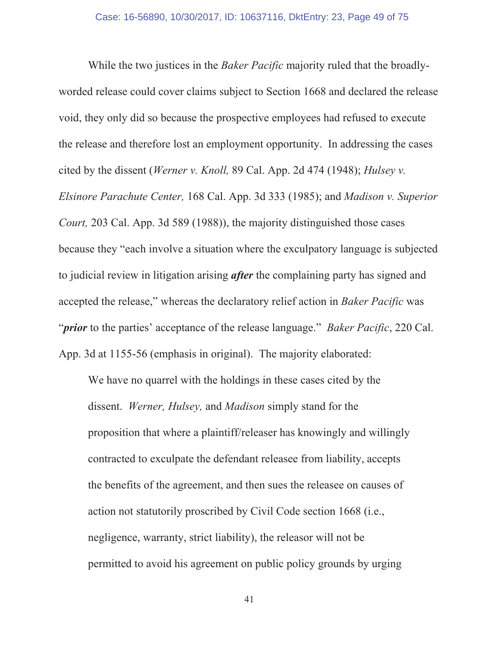While the two justices in the *Baker Pacific* majority ruled that the broadlyworded release could cover claims subject to Section 1668 and declared the release void, they only did so because the prospective employees had refused to execute the release and therefore lost an employment opportunity. In addressing the cases cited by the dissent (*Werner v. Knoll,* 89 Cal. App. 2d 474 (1948); *Hulsey v. Elsinore Parachute Center,* 168 Cal. App. 3d 333 (1985); and *Madison v. Superior Court,* 203 Cal. App. 3d 589 (1988)), the majority distinguished those cases because they "each involve a situation where the exculpatory language is subjected to judicial review in litigation arising *after* the complaining party has signed and accepted the release," whereas the declaratory relief action in *Baker Pacific* was *"prior* to the parties' acceptance of the release language." *Baker Pacific*, 220 Cal. App. 3d at  $1155-56$  (emphasis in original). The majority elaborated:

We have no quarrel with the holdings in these cases cited by the dissent. Werner, Hulsey, and Madison simply stand for the proposition that where a plaintiff/releaser has knowingly and willingly contracted to exculpate the defendant releasee from liability, accepts the benefits of the agreement, and then sues the releasee on causes of action not statutorily proscribed by Civil Code section 1668 (i.e., negligence, warranty, strict liability), the releasor will not be permitted to avoid his agreement on public policy grounds by urging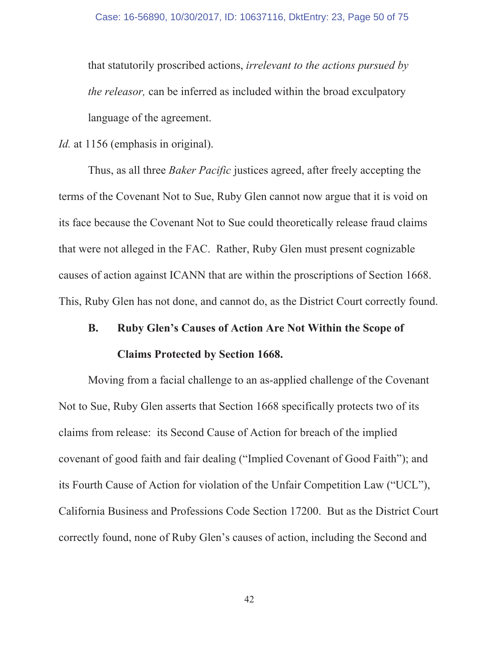that statutorily proscribed actions, *irrelevant to the actions pursued by the releasor*, can be inferred as included within the broad exculpatory language of the agreement.

*Id.* at 1156 (emphasis in original).

Thus, as all three *Baker Pacific* justices agreed, after freely accepting the terms of the Covenant Not to Sue, Ruby Glen cannot now argue that it is void on its face because the Covenant Not to Sue could theoretically release fraud claims that were not alleged in the FAC. Rather, Ruby Glen must present cognizable causes of action against ICANN that are within the proscriptions of Section 1668. This, Ruby Glen has not done, and cannot do, as the District Court correctly found.

#### **B. Ruby Glen's Causes of Action Are Not Within the Scope of**

## **Claims Protected by Section 1668.**

Moving from a facial challenge to an as-applied challenge of the Covenant Not to Sue, Ruby Glen asserts that Section 1668 specifically protects two of its claims from release: its Second Cause of Action for breach of the implied covenant of good faith and fair dealing ("Implied Covenant of Good Faith"); and its Fourth Cause of Action for violation of the Unfair Competition Law ("UCL"), California Business and Professions Code Section 17200. But as the District Court correctly found, none of Ruby Glen's causes of action, including the Second and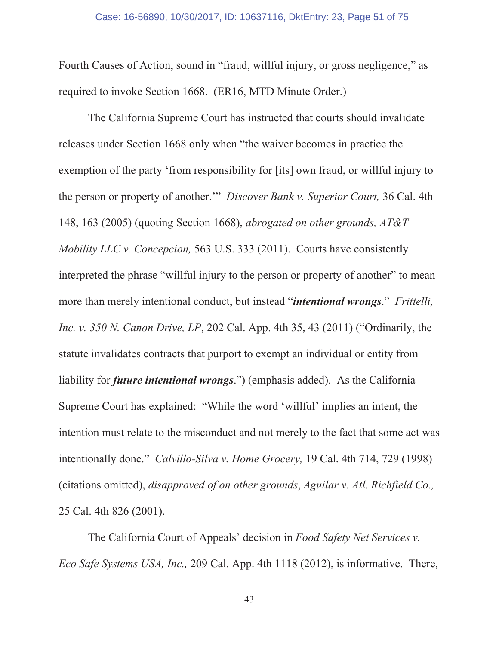Fourth Causes of Action, sound in "fraud, willful injury, or gross negligence," as required to invoke Section 1668. (ER16, MTD Minute Order.)

The California Supreme Court has instructed that courts should invalidate releases under Section 1668 only when "the waiver becomes in practice the exemption of the party 'from responsibility for [its] own fraud, or willful injury to the person or property of another." *Discover Bank v. Superior Court,* 36 Cal. 4th 148, 163 (2005) (quoting Section 1668), *abrogated on other grounds*, *AT&T Mobility LLC v. Concepcion,* 563 U.S. 333 (2011). Courts have consistently interpreted the phrase "willful injury to the person or property of another" to mean more than merely intentional conduct, but instead "*intentional wrongs.*" Frittelli, *Inc. v. 350 N. Canon Drive, LP, 202 Cal. App. 4th 35, 43 (2011)* ("Ordinarily, the statute invalidates contracts that purport to exempt an individual or entity from liability for **future intentional wrongs**.") (emphasis added). As the California Supreme Court has explained: "While the word 'willful' implies an intent, the intention must relate to the misconduct and not merely to the fact that some act was intentionally done." Calvillo-Silva v. Home Grocery, 19 Cal. 4th 714, 729 (1998) (citations omitted), *disapproved* of on other grounds, *Aguilar v. Atl. Richfield Co.*, 25 Cal. 4th 826 (2001).

The California Court of Appeals' decision in *Food Safety Net Services v. Eco Safe Systems USA, Inc.,* 209 Cal. App. 4th 1118 (2012), is informative. There,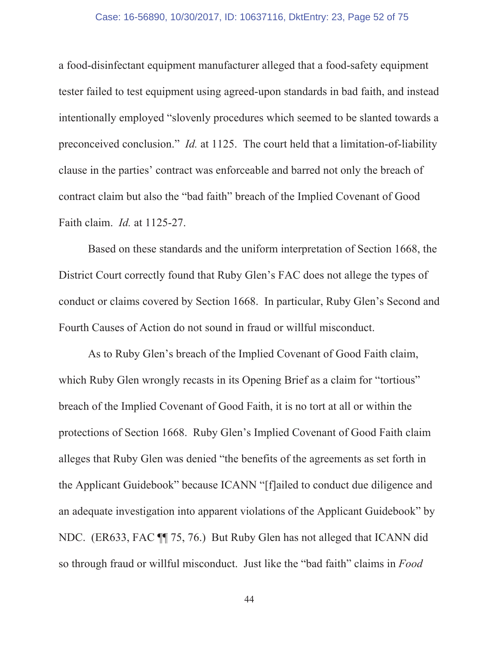### Case: 16-56890, 10/30/2017, ID: 10637116, DktEntry: 23, Page 52 of 75

a food-disinfectant equipment manufacturer alleged that a food-safety equipment tester failed to test equipment using agreed-upon standards in bad faith, and instead intentionally employed "slovenly procedures which seemed to be slanted towards a preconceived conclusion." *Id.* at 1125. The court held that a limitation-of-liability clause in the parties' contract was enforceable and barred not only the breach of contract claim but also the "bad faith" breach of the Implied Covenant of Good Faith claim. *Id.* at 1125-27.

Based on these standards and the uniform interpretation of Section 1668, the District Court correctly found that Ruby Glen's FAC does not allege the types of conduct or claims covered by Section 1668. In particular, Ruby Glen's Second and Fourth Causes of Action do not sound in fraud or willful misconduct.

As to Ruby Glen's breach of the Implied Covenant of Good Faith claim, which Ruby Glen wrongly recasts in its Opening Brief as a claim for "tortious" breach of the Implied Covenant of Good Faith, it is no tort at all or within the protections of Section 1668. Ruby Glen's Implied Covenant of Good Faith claim alleges that Ruby Glen was denied "the benefits of the agreements as set forth in the Applicant Guidebook" because ICANN "[f]ailed to conduct due diligence and an adequate investigation into apparent violations of the Applicant Guidebook" by NDC. (ER633, FAC ¶ 75, 76.) But Ruby Glen has not alleged that ICANN did so through fraud or willful misconduct. Just like the "bad faith" claims in Food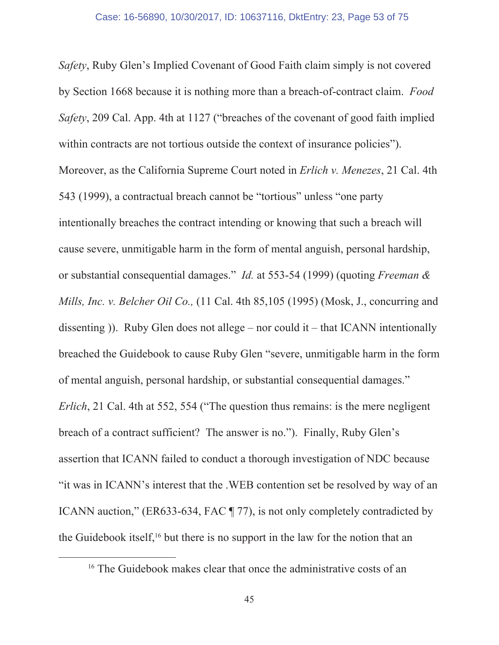Safety, Ruby Glen's Implied Covenant of Good Faith claim simply is not covered by Section 1668 because it is nothing more than a breach-of-contract claim. Food Safety, 209 Cal. App. 4th at 1127 ("breaches of the covenant of good faith implied within contracts are not tortious outside the context of insurance policies"). Moreover, as the California Supreme Court noted in *Erlich v. Menezes*, 21 Cal. 4th 543 (1999), a contractual breach cannot be "tortious" unless "one party intentionally breaches the contract intending or knowing that such a breach will cause severe, unmitigable harm in the form of mental anguish, personal hardship, or substantial consequential damages." *Id.* at 553-54 (1999) (quoting *Freeman &* Mills, Inc. v. Belcher Oil Co., (11 Cal. 4th 85,105 (1995) (Mosk, J., concurring and dissenting)). Ruby Glen does not allege – nor could it – that ICANN intentionally breached the Guidebook to cause Ruby Glen "severe, unmitigable harm in the form of mental anguish, personal hardship, or substantial consequential damages." *Erlich*, 21 Cal. 4th at 552, 554 ("The question thus remains: is the mere negligent breach of a contract sufficient? The answer is no."). Finally, Ruby Glen's assertion that ICANN failed to conduct a thorough investigation of NDC because "it was in ICANN's interest that the .WEB contention set be resolved by way of an ICANN auction," (ER633-634, FAC ¶ 77), is not only completely contradicted by the Guidebook itself,<sup>16</sup> but there is no support in the law for the notion that an

<sup>&</sup>lt;sup>16</sup> The Guidebook makes clear that once the administrative costs of an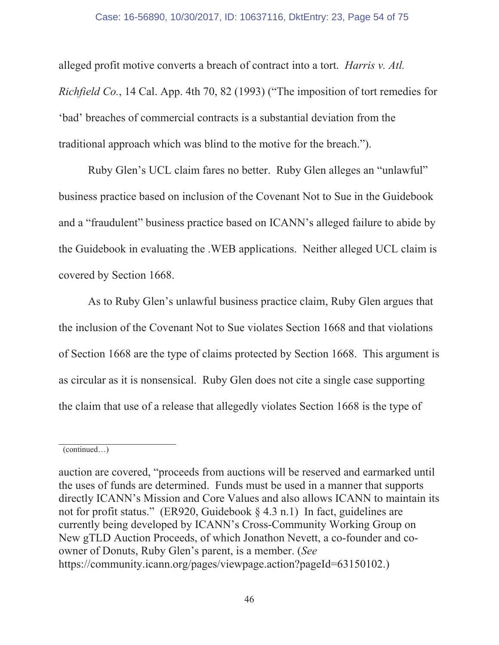## Case: 16-56890, 10/30/2017, ID: 10637116, DktEntry: 23, Page 54 of 75

alleged profit motive converts a breach of contract into a tort. *Harris v. Atl. Richfield Co.*, 14 Cal. App. 4th 70, 82 (1993) ("The imposition of tort remedies for 'bad' breaches of commercial contracts is a substantial deviation from the traditional approach which was blind to the motive for the breach.").

Ruby Glen's UCL claim fares no better. Ruby Glen alleges an "unlawful" business practice based on inclusion of the Covenant Not to Sue in the Guidebook and a "fraudulent" business practice based on ICANN's alleged failure to abide by the Guidebook in evaluating the .WEB applications. Neither alleged UCL claim is covered by Section 1668.

As to Ruby Glen's unlawful business practice claim, Ruby Glen argues that the inclusion of the Covenant Not to Sue violates Section 1668 and that violations of Section 1668 are the type of claims protected by Section 1668. This argument is as circular as it is nonsensical. Ruby Glen does not cite a single case supporting the claim that use of a release that allegedly violates Section 1668 is the type of

 $(continued...)$ 

auction are covered, "proceeds from auctions will be reserved and earmarked until the uses of funds are determined. Funds must be used in a manner that supports directly ICANN's Mission and Core Values and also allows ICANN to maintain its not for profit status." (ER920, Guidebook  $\S$  4.3 n.1) In fact, guidelines are currently being developed by ICANN's Cross-Community Working Group on New gTLD Auction Proceeds, of which Jonathon Nevett, a co-founder and coowner of Donuts, Ruby Glen's parent, is a member. (See https://community.icann.org/pages/viewpage.action?pageId=63150102.)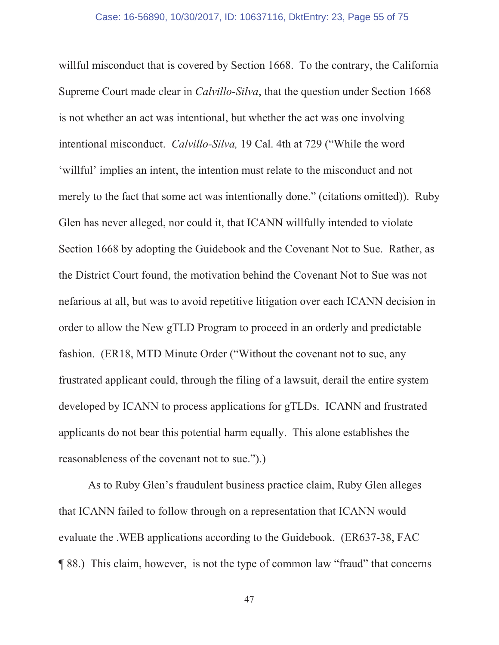willful misconduct that is covered by Section 1668. To the contrary, the California Supreme Court made clear in *Calvillo-Silva*, that the question under Section 1668 is not whether an act was intentional, but whether the act was one involving intentional misconduct. Calvillo-Silva, 19 Cal. 4th at 729 ("While the word 'willful' implies an intent, the intention must relate to the misconduct and not merely to the fact that some act was intentionally done." (citations omitted)). Ruby Glen has never alleged, nor could it, that ICANN willfully intended to violate Section 1668 by adopting the Guidebook and the Covenant Not to Sue. Rather, as the District Court found, the motivation behind the Covenant Not to Sue was not nefarious at all, but was to avoid repetitive litigation over each ICANN decision in order to allow the New gTLD Program to proceed in an orderly and predictable fashion. (ER18, MTD Minute Order ("Without the covenant not to sue, any frustrated applicant could, through the filing of a lawsuit, derail the entire system developed by ICANN to process applications for gTLDs. ICANN and frustrated applicants do not bear this potential harm equally. This alone establishes the reasonableness of the covenant not to sue.").)

As to Ruby Glen's fraudulent business practice claim, Ruby Glen alleges that ICANN failed to follow through on a representation that ICANN would evaluate the .WEB applications according to the Guidebook. (ER637-38, FAC **[88.]** This claim, however, is not the type of common law "fraud" that concerns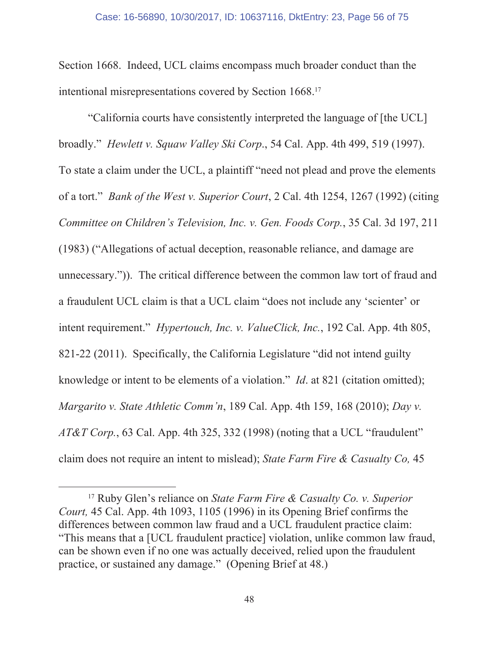Section 1668. Indeed, UCL claims encompass much broader conduct than the intentional misrepresentations covered by Section  $1668$ <sup>17</sup>

"California courts have consistently interpreted the language of [the UCL] broadly." Hewlett v. Squaw Valley Ski Corp., 54 Cal. App. 4th 499, 519 (1997). To state a claim under the UCL, a plaintiff "need not plead and prove the elements of a tort." *Bank of the West v. Superior Court*, 2 Cal. 4th 1254, 1267 (1992) (citing *Committee on Children's Television, Inc. v. Gen. Foods Corp.*, 35 Cal. 3d 197, 211 (1983) ("Allegations of actual deception, reasonable reliance, and damage are unnecessary.")). The critical difference between the common law tort of fraud and a fraudulent UCL claim is that a UCL claim "does not include any 'scienter' or intent requirement." *Hypertouch, Inc. v. ValueClick, Inc.*, 192 Cal. App. 4th 805, 821-22 (2011). Specifically, the California Legislature "did not intend guilty knowledge or intent to be elements of a violation." *Id.* at 821 (citation omitted); *Margarito v. State Athletic Comm'n,* 189 Cal. App. 4th 159, 168 (2010); Day v.  $AT&T$  Corp., 63 Cal. App. 4th 325, 332 (1998) (noting that a UCL "fraudulent" claim does not require an intent to mislead); State Farm Fire & Casualty Co, 45

<sup>&</sup>lt;sup>17</sup> Ruby Glen's reliance on *State Farm Fire & Casualty Co. v. Superior Court,* 45 Cal. App. 4th 1093, 1105 (1996) in its Opening Brief confirms the differences between common law fraud and a UCL fraudulent practice claim: "This means that a [UCL fraudulent practice] violation, unlike common law fraud, can be shown even if no one was actually deceived, relied upon the fraudulent practice, or sustained any damage." (Opening Brief at 48.)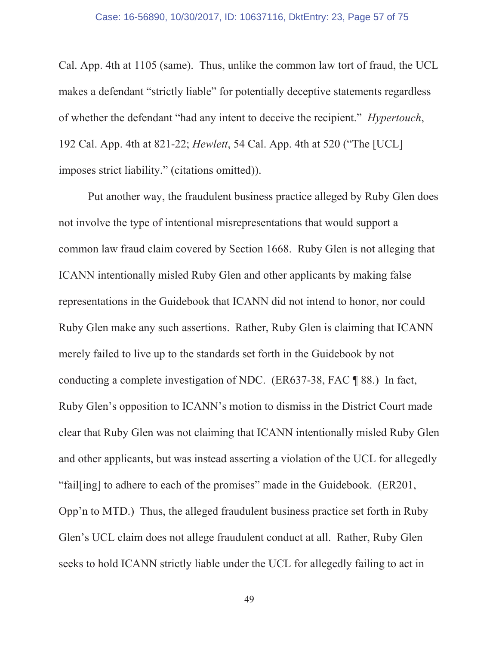Cal. App. 4th at 1105 (same). Thus, unlike the common law tort of fraud, the UCL makes a defendant "strictly liable" for potentially deceptive statements regardless of whether the defendant "had any intent to deceive the recipient." *Hypertouch*, 192 Cal. App. 4th at 821-22; *Hewlett*, 54 Cal. App. 4th at 520 ("The [UCL] imposes strict liability." (citations omitted)).

Put another way, the fraudulent business practice alleged by Ruby Glen does not involve the type of intentional misrepresentations that would support a common law fraud claim covered by Section 1668. Ruby Glen is not alleging that ICANN intentionally misled Ruby Glen and other applicants by making false representations in the Guidebook that ICANN did not intend to honor, nor could Ruby Glen make any such assertions. Rather, Ruby Glen is claiming that ICANN merely failed to live up to the standards set forth in the Guidebook by not conducting a complete investigation of NDC. (ER637-38, FAC  $\parallel$  88.) In fact, Ruby Glen's opposition to ICANN's motion to dismiss in the District Court made clear that Ruby Glen was not claiming that ICANN intentionally misled Ruby Glen and other applicants, but was instead asserting a violation of the UCL for allegedly "fail[ing] to adhere to each of the promises" made in the Guidebook. (ER201, Opp'n to MTD.) Thus, the alleged fraudulent business practice set forth in Ruby Glen's UCL claim does not allege fraudulent conduct at all. Rather, Ruby Glen seeks to hold ICANN strictly liable under the UCL for allegedly failing to act in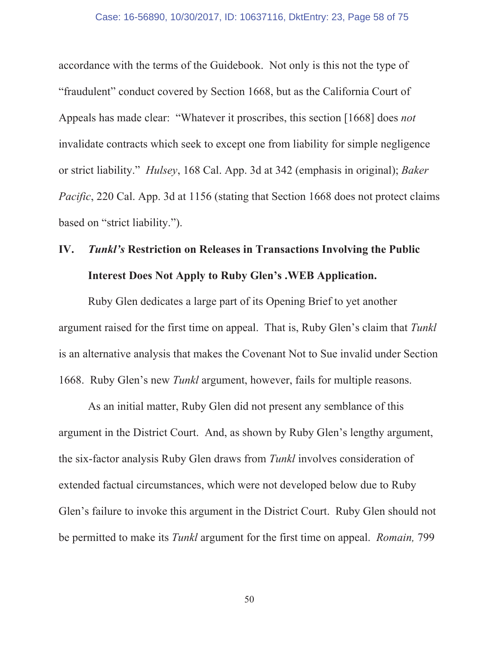accordance with the terms of the Guidebook. Not only is this not the type of "fraudulent" conduct covered by Section 1668, but as the California Court of Appeals has made clear: "Whatever it proscribes, this section [1668] does not invalidate contracts which seek to except one from liability for simple negligence or strict liability." *Hulsey*, 168 Cal. App. 3d at 342 (emphasis in original); *Baker Pacific*, 220 Cal. App. 3d at 1156 (stating that Section 1668 does not protect claims based on "strict liability.").

# **Tunkl's Restriction on Releases in Transactions Involving the Public** IV. **Interest Does Not Apply to Ruby Glen's .WEB Application.**

Ruby Glen dedicates a large part of its Opening Brief to yet another argument raised for the first time on appeal. That is, Ruby Glen's claim that Tunkl is an alternative analysis that makes the Covenant Not to Sue invalid under Section 1668. Ruby Glen's new Tunkl argument, however, fails for multiple reasons.

As an initial matter, Ruby Glen did not present any semblance of this argument in the District Court. And, as shown by Ruby Glen's lengthy argument, the six-factor analysis Ruby Glen draws from Tunkl involves consideration of extended factual circumstances, which were not developed below due to Ruby Glen's failure to invoke this argument in the District Court. Ruby Glen should not be permitted to make its *Tunkl* argument for the first time on appeal. *Romain*, 799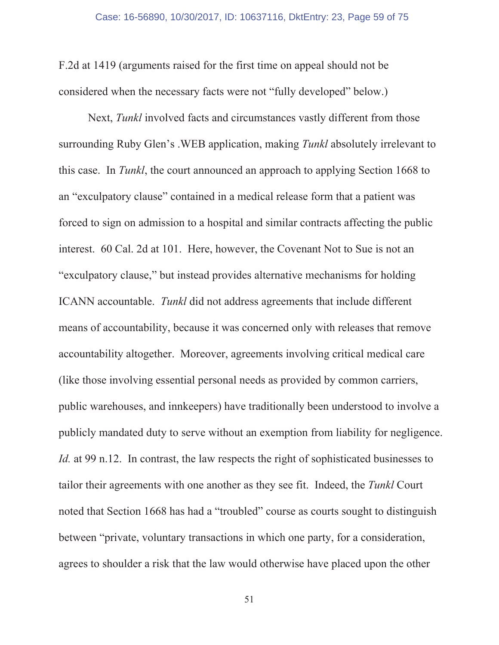F.2d at 1419 (arguments raised for the first time on appeal should not be considered when the necessary facts were not "fully developed" below.)

Next, Tunkl involved facts and circumstances vastly different from those surrounding Ruby Glen's . WEB application, making Tunkl absolutely irrelevant to this case. In Tunkl, the court announced an approach to applying Section 1668 to an "exculpatory clause" contained in a medical release form that a patient was forced to sign on admission to a hospital and similar contracts affecting the public interest. 60 Cal. 2d at 101. Here, however, the Covenant Not to Sue is not an "exculpatory clause," but instead provides alternative mechanisms for holding ICANN accountable. Tunkl did not address agreements that include different means of accountability, because it was concerned only with releases that remove accountability altogether. Moreover, agreements involving critical medical care (like those involving essential personal needs as provided by common carriers, public warehouses, and innkeepers) have traditionally been understood to involve a publicly mandated duty to serve without an exemption from liability for negligence. *Id.* at 99 n.12. In contrast, the law respects the right of sophisticated businesses to tailor their agreements with one another as they see fit. Indeed, the Tunkl Court noted that Section 1668 has had a "troubled" course as courts sought to distinguish between "private, voluntary transactions in which one party, for a consideration, agrees to shoulder a risk that the law would otherwise have placed upon the other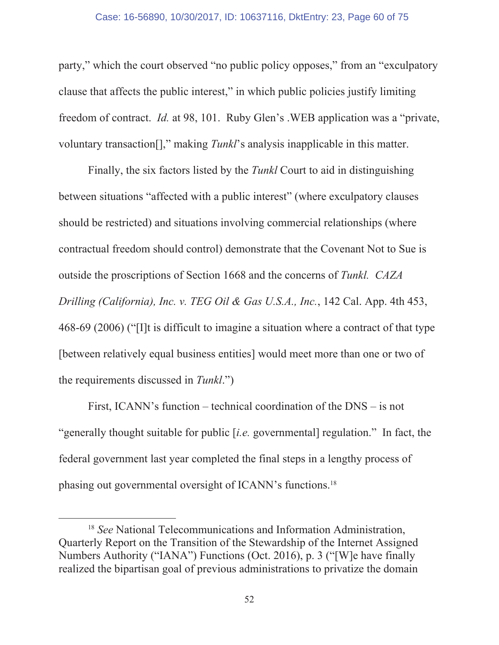## Case: 16-56890, 10/30/2017, ID: 10637116, DktEntry: 23, Page 60 of 75

party," which the court observed "no public policy opposes," from an "exculpatory" clause that affects the public interest," in which public policies justify limiting freedom of contract. *Id.* at 98, 101. Ruby Glen's .WEB application was a "private, voluntary transaction<sup>[]</sup>," making *Tunkl*'s analysis inapplicable in this matter.

Finally, the six factors listed by the *Tunkl* Court to aid in distinguishing between situations "affected with a public interest" (where exculpatory clauses should be restricted) and situations involving commercial relationships (where contractual freedom should control) demonstrate that the Covenant Not to Sue is outside the proscriptions of Section 1668 and the concerns of Tunkl. CAZA Drilling (California), Inc. v. TEG Oil & Gas U.S.A., Inc., 142 Cal. App. 4th 453, 468-69 (2006) ("I'll is difficult to imagine a situation where a contract of that type [between relatively equal business entities] would meet more than one or two of the requirements discussed in Tunkl.")

First, ICANN's function – technical coordination of the  $DNS - is not$ "generally thought suitable for public [*i.e.* governmental] regulation." In fact, the federal government last year completed the final steps in a lengthy process of phasing out governmental oversight of ICANN's functions.<sup>18</sup>

<sup>&</sup>lt;sup>18</sup> See National Telecommunications and Information Administration, Quarterly Report on the Transition of the Stewardship of the Internet Assigned Numbers Authority ("IANA") Functions (Oct. 2016), p. 3 ("[W]e have finally realized the bipartisan goal of previous administrations to privatize the domain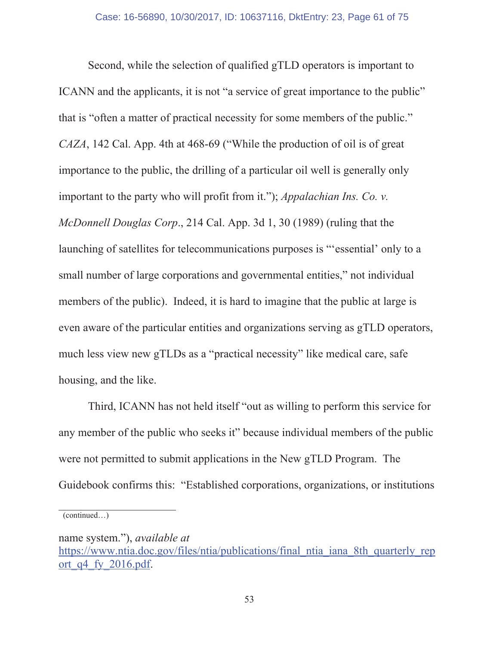Second, while the selection of qualified gTLD operators is important to ICANN and the applicants, it is not "a service of great importance to the public" that is "often a matter of practical necessity for some members of the public." CAZA, 142 Cal. App. 4th at 468-69 ("While the production of oil is of great importance to the public, the drilling of a particular oil well is generally only important to the party who will profit from it."); *Appalachian Ins. Co. v.* McDonnell Douglas Corp., 214 Cal. App. 3d 1, 30 (1989) (ruling that the launching of satellites for telecommunications purposes is "essential' only to a small number of large corporations and governmental entities," not individual members of the public). Indeed, it is hard to imagine that the public at large is even aware of the particular entities and organizations serving as gTLD operators, much less view new gTLDs as a "practical necessity" like medical care, safe housing, and the like.

Third, ICANN has not held itself "out as willing to perform this service for any member of the public who seeks it" because individual members of the public were not permitted to submit applications in the New gTLD Program. The Guidebook confirms this: "Established corporations, organizations, or institutions

 $(continued...)$ 

name system."), *available at* https://www.ntia.doc.gov/files/ntia/publications/final ntia iana 8th quarterly rep ort q $4$  fy 2016.pdf.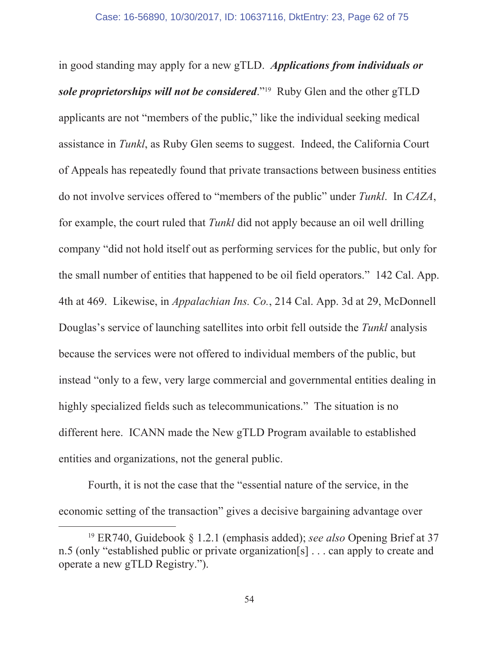in good standing may apply for a new gTLD. Applications from individuals or sole proprietorships will not be considered."<sup>19</sup> Ruby Glen and the other gTLD applicants are not "members of the public," like the individual seeking medical assistance in Tunkl, as Ruby Glen seems to suggest. Indeed, the California Court of Appeals has repeatedly found that private transactions between business entities do not involve services offered to "members of the public" under Tunkl. In CAZA, for example, the court ruled that Tunkl did not apply because an oil well drilling company "did not hold itself out as performing services for the public, but only for the small number of entities that happened to be oil field operators." 142 Cal. App. 4th at 469. Likewise, in *Appalachian Ins. Co.*, 214 Cal. App. 3d at 29, McDonnell Douglas's service of launching satellites into orbit fell outside the Tunkl analysis because the services were not offered to individual members of the public, but instead "only to a few, very large commercial and governmental entities dealing in highly specialized fields such as telecommunications." The situation is no different here. ICANN made the New gTLD Program available to established entities and organizations, not the general public.

Fourth, it is not the case that the "essential nature of the service, in the economic setting of the transaction" gives a decisive bargaining advantage over

<sup>&</sup>lt;sup>19</sup> ER740, Guidebook  $\S$  1.2.1 (emphasis added); see also Opening Brief at 37 n.5 (only "established public or private organization [s] . . . can apply to create and operate a new gTLD Registry.").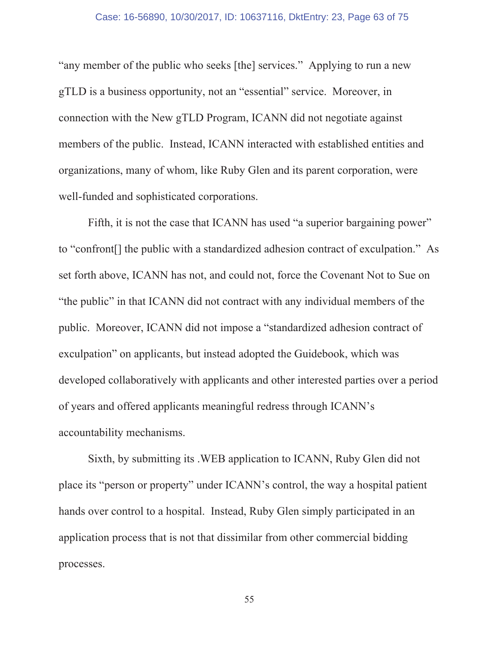"any member of the public who seeks [the] services." Applying to run a new gTLD is a business opportunity, not an "essential" service. Moreover, in connection with the New gTLD Program, ICANN did not negotiate against members of the public. Instead, ICANN interacted with established entities and organizations, many of whom, like Ruby Glen and its parent corporation, were well-funded and sophisticated corporations.

Fifth, it is not the case that ICANN has used "a superior bargaining power" to "confront[] the public with a standardized adhesion contract of exculpation." As set forth above, ICANN has not, and could not, force the Covenant Not to Sue on "the public" in that ICANN did not contract with any individual members of the public. Moreover, ICANN did not impose a "standardized adhesion contract of exculpation" on applicants, but instead adopted the Guidebook, which was developed collaboratively with applicants and other interested parties over a period of years and offered applicants meaningful redress through ICANN's accountability mechanisms.

Sixth, by submitting its . WEB application to ICANN, Ruby Glen did not place its "person or property" under ICANN's control, the way a hospital patient hands over control to a hospital. Instead, Ruby Glen simply participated in an application process that is not that dissimilar from other commercial bidding processes.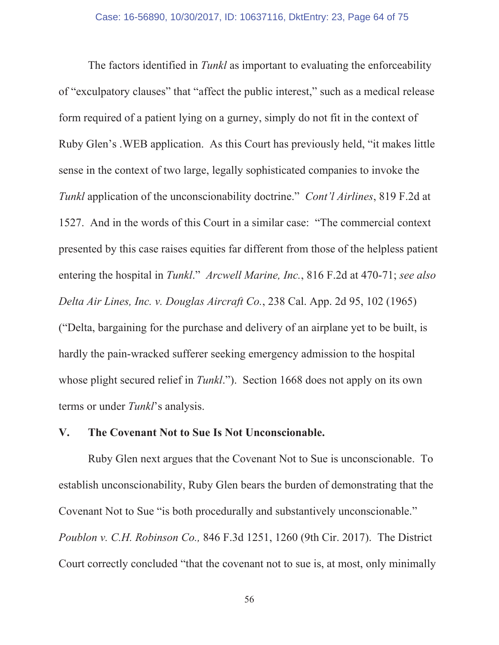The factors identified in Tunkl as important to evaluating the enforceability of "exculpatory clauses" that "affect the public interest," such as a medical release form required of a patient lying on a gurney, simply do not fit in the context of Ruby Glen's . WEB application. As this Court has previously held, "it makes little" sense in the context of two large, legally sophisticated companies to invoke the Tunkl application of the unconscionability doctrine." Cont'l Airlines, 819 F.2d at 1527. And in the words of this Court in a similar case: "The commercial context presented by this case raises equities far different from those of the helpless patient entering the hospital in Tunkl." Arcwell Marine, Inc., 816 F.2d at 470-71; see also Delta Air Lines, Inc. v. Douglas Aircraft Co., 238 Cal. App. 2d 95, 102 (1965) ("Delta, bargaining for the purchase and delivery of an airplane yet to be built, is hardly the pain-wracked sufferer seeking emergency admission to the hospital whose plight secured relief in Tunkl."). Section 1668 does not apply on its own terms or under Tunkl's analysis.

#### The Covenant Not to Sue Is Not Unconscionable. V.

Ruby Glen next argues that the Covenant Not to Sue is unconscionable. To establish unconscionability, Ruby Glen bears the burden of demonstrating that the Covenant Not to Sue "is both procedurally and substantively unconscionable." Poublon v. C.H. Robinson Co., 846 F.3d 1251, 1260 (9th Cir. 2017). The District Court correctly concluded "that the covenant not to sue is, at most, only minimally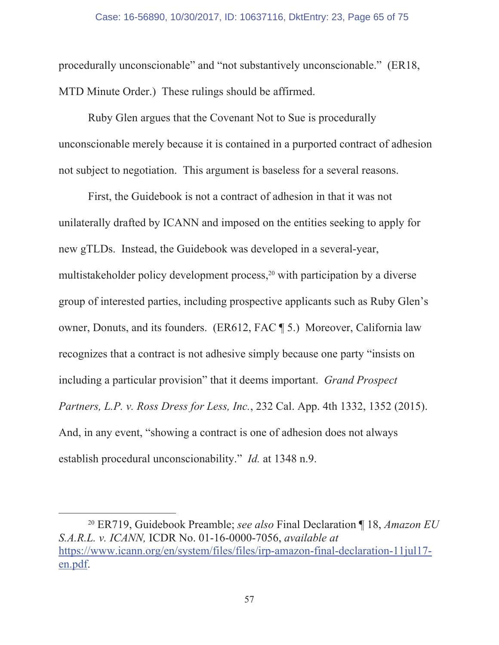## Case: 16-56890, 10/30/2017, ID: 10637116, DktEntry: 23, Page 65 of 75

procedurally unconscionable" and "not substantively unconscionable." (ER18, MTD Minute Order.) These rulings should be affirmed.

Ruby Glen argues that the Covenant Not to Sue is procedurally unconscionable merely because it is contained in a purported contract of adhesion not subject to negotiation. This argument is baseless for a several reasons.

First, the Guidebook is not a contract of adhesion in that it was not unilaterally drafted by ICANN and imposed on the entities seeking to apply for new gTLDs. Instead, the Guidebook was developed in a several-year, multistakeholder policy development process,<sup>20</sup> with participation by a diverse group of interested parties, including prospective applicants such as Ruby Glen's owner, Donuts, and its founders. (ER612, FAC \[ 5.) Moreover, California law recognizes that a contract is not adhesive simply because one party "insists on including a particular provision" that it deems important. Grand Prospect Partners, L.P. v. Ross Dress for Less, Inc., 232 Cal. App. 4th 1332, 1352 (2015). And, in any event, "showing a contract is one of adhesion does not always establish procedural unconscionability." *Id.* at 1348 n.9.

<sup>&</sup>lt;sup>20</sup> ER719, Guidebook Preamble; see also Final Declaration ¶ 18, Amazon EU  $S.A.R.L.$  v. ICANN, ICDR No. 01-16-0000-7056, available at https://www.icann.org/en/system/files/files/irp-amazon-final-declaration-11jul17en.pdf.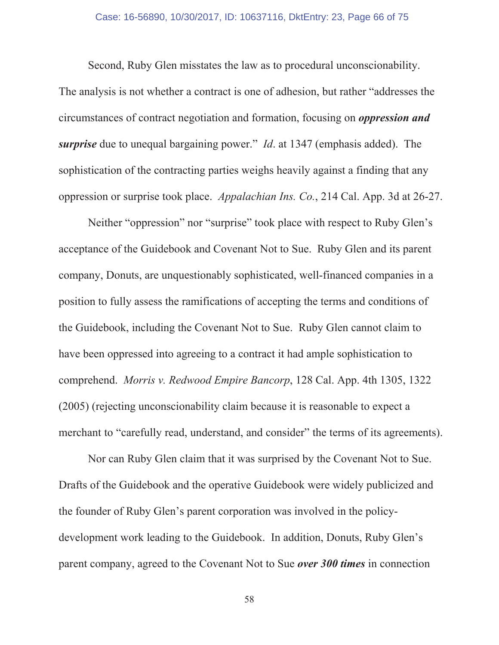#### Case: 16-56890, 10/30/2017, ID: 10637116, DktEntry: 23, Page 66 of 75

Second, Ruby Glen misstates the law as to procedural unconscionability. The analysis is not whether a contract is one of adhesion, but rather "addresses the FRIFRIFR CONSTRAINING DETERMINIFRIFRIFRIGHT CONTINUITY CONSTRAINING SETTING And *Continuity and and and and analyzing on oppression and surprise* due to unequal bargaining power." *Id.* at 1347 (emphasis added). The sophistication of the contracting parties weighs heavily against a finding that any oppression or surprise took place. *Appalachian Ins. Co.*, 214 Cal. App. 3d at 26-27.

Neither "oppression" nor "surprise" took place with respect to Ruby Glen's acceptance of the Guidebook and Covenant Not to Sue. Ruby Glen and its parent company, Donuts, are unquestionably sophisticated, well-financed companies in a position to fully assess the ramifications of accepting the terms and conditions of the Guidebook, including the Covenant Not to Sue. Ruby Glen cannot claim to have been oppressed into agreeing to a contract it had ample sophistication to comprehend. *Morris v. Redwood Empire Bancorp*, 128 Cal. App. 4th 1305, 1322  $(2005)$  (rejecting unconscionability claim because it is reasonable to expect a merchant to "carefully read, understand, and consider" the terms of its agreements).

Nor can Ruby Glen claim that it was surprised by the Covenant Not to Sue. Drafts of the Guidebook and the operative Guidebook were widely publicized and the founder of Ruby Glen's parent corporation was involved in the policydevelopment work leading to the Guidebook. In addition, Donuts, Ruby Glen's parent company, agreed to the Covenant Not to Sue *over 300 times* in connection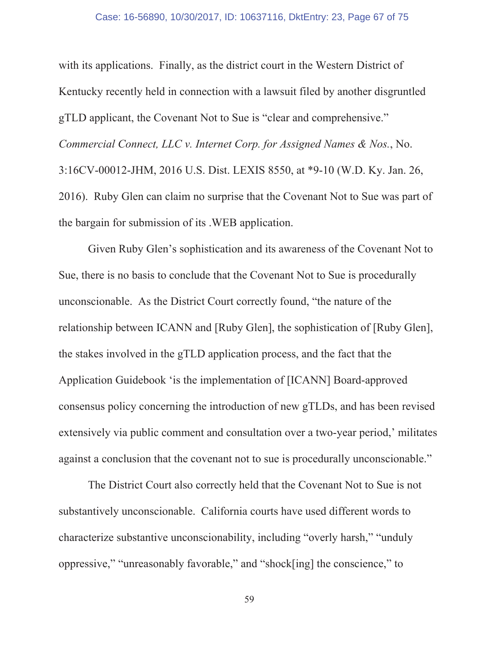with its applications. Finally, as the district court in the Western District of Kentucky recently held in connection with a lawsuit filed by another disgruntled gTLD applicant, the Covenant Not to Sue is "clear and comprehensive." Commercial Connect, LLC v. Internet Corp. for Assigned Names & Nos., No. 3:16CV-00012-JHM, 2016 U.S. Dist. LEXIS 8550, at \*9-10 (W.D. Ky. Jan. 26, 2016). Ruby Glen can claim no surprise that the Covenant Not to Sue was part of the bargain for submission of its . WEB application.

Given Ruby Glen's sophistication and its awareness of the Covenant Not to Sue, there is no basis to conclude that the Covenant Not to Sue is procedurally unconscionable. As the District Court correctly found, "the nature of the relationship between ICANN and [Ruby Glen], the sophistication of [Ruby Glen], the stakes involved in the gTLD application process, and the fact that the Application Guidebook 'is the implementation of [ICANN] Board-approved consensus policy concerning the introduction of new gTLDs, and has been revised extensively via public comment and consultation over a two-year period,' militates against a conclusion that the covenant not to sue is procedurally unconscionable."

The District Court also correctly held that the Covenant Not to Sue is not substantively unconscionable. California courts have used different words to characterize substantive unconscionability, including "overly harsh," "unduly oppressive," "unreasonably favorable," and "shock[ing] the conscience," to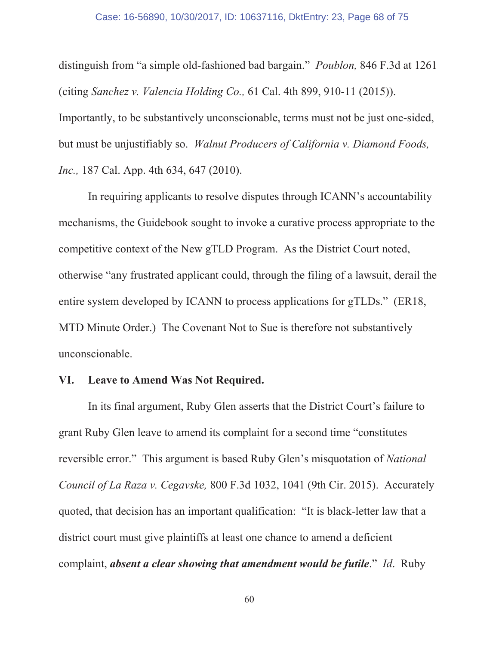#### Case: 16-56890, 10/30/2017, ID: 10637116, DktEntry: 23, Page 68 of 75

distinguish from "a simple old-fashioned bad bargain." *Poublon*, 846 F.3d at 1261 (citing Sanchez v. Valencia Holding Co., 61 Cal. 4th 899, 910-11 (2015)). Importantly, to be substantively unconscionable, terms must not be just one-sided, but must be unjustifiably so. *Walnut Producers of California v. Diamond Foods*, *Inc.*, 187 Cal. App. 4th 634, 647 (2010).

In requiring applicants to resolve disputes through ICANN's accountability mechanisms, the Guidebook sought to invoke a curative process appropriate to the competitive context of the New gTLD Program. As the District Court noted, otherwise "any frustrated applicant could, through the filing of a lawsuit, derail the entire system developed by ICANN to process applications for gTLDs." (ER18, MTD Minute Order.) The Covenant Not to Sue is therefore not substantively unconscionable.

#### **Leave to Amend Was Not Required.** VI.

In its final argument, Ruby Glen asserts that the District Court's failure to grant Ruby Glen leave to amend its complaint for a second time "constitutes" reversible error." This argument is based Ruby Glen's misquotation of National Council of La Raza v. Cegavske, 800 F.3d 1032, 1041 (9th Cir. 2015). Accurately quoted, that decision has an important qualification: "It is black-letter law that a district court must give plaintiffs at least one chance to amend a deficient complaint, absent a clear showing that amendment would be futile." Id. Ruby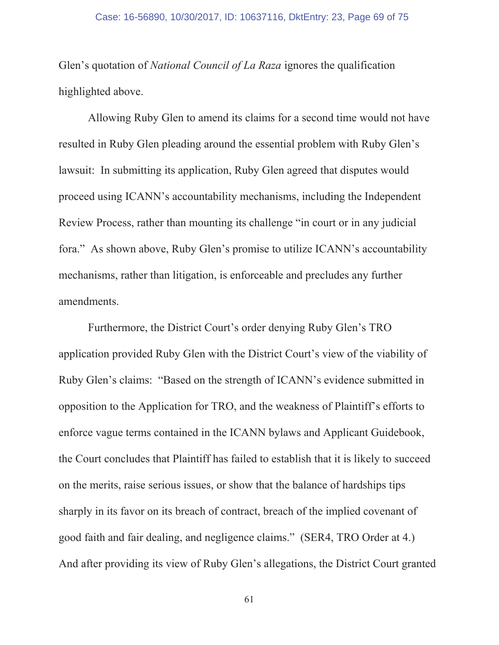Glen's quotation of *National Council of La Raza* ignores the qualification highlighted above.

Allowing Ruby Glen to amend its claims for a second time would not have resulted in Ruby Glen pleading around the essential problem with Ruby Glen's lawsuit: In submitting its application, Ruby Glen agreed that disputes would proceed using ICANN's accountability mechanisms, including the Independent Review Process, rather than mounting its challenge "in court or in any judicial fora." As shown above, Ruby Glen's promise to utilize ICANN's accountability mechanisms, rather than litigation, is enforceable and precludes any further amendments.

Furthermore, the District Court's order denying Ruby Glen's TRO application provided Ruby Glen with the District Court's view of the viability of Ruby Glen's claims: "Based on the strength of ICANN's evidence submitted in opposition to the Application for TRO, and the weakness of Plaintiff's efforts to enforce vague terms contained in the ICANN bylaws and Applicant Guidebook, the Court concludes that Plaintiff has failed to establish that it is likely to succeed on the merits, raise serious issues, or show that the balance of hardships tips sharply in its favor on its breach of contract, breach of the implied covenant of good faith and fair dealing, and negligence claims." (SER4, TRO Order at 4.) And after providing its view of Ruby Glen's allegations, the District Court granted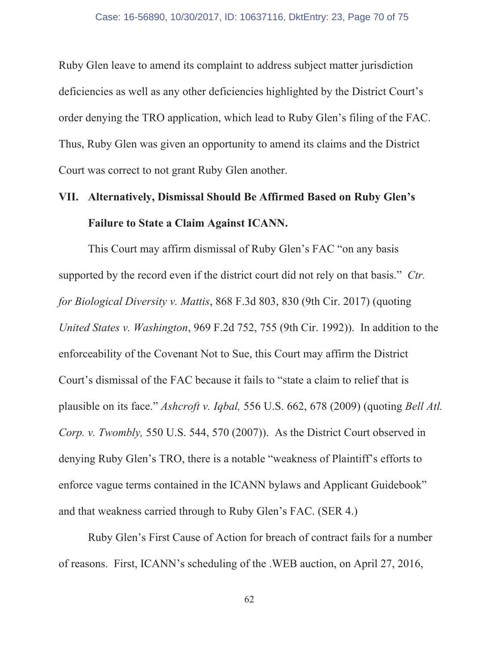Ruby Glen leave to amend its complaint to address subject matter jurisdiction deficiencies as well as any other deficiencies highlighted by the District Court's order denying the TRO application, which lead to Ruby Glen's filing of the FAC. Thus, Ruby Glen was given an opportunity to amend its claims and the District Court was correct to not grant Ruby Glen another.

# VII. Alternatively, Dismissal Should Be Affirmed Based on Ruby Glen's **Failure to State a Claim Against ICANN.**

This Court may affirm dismissal of Ruby Glen's FAC "on any basis supported by the record even if the district court did not rely on that basis." Ctr. for Biological Diversity v. Mattis, 868 F.3d 803, 830 (9th Cir. 2017) (quoting United States v. Washington, 969 F.2d 752, 755 (9th Cir. 1992)). In addition to the enforceability of the Covenant Not to Sue, this Court may affirm the District Court's dismissal of the FAC because it fails to "state a claim to relief that is plausible on its face." Ashcroft v. Iqbal, 556 U.S. 662, 678 (2009) (quoting Bell Atl. Corp. v. Twombly, 550 U.S. 544, 570 (2007)). As the District Court observed in denying Ruby Glen's TRO, there is a notable "weakness of Plaintiff's efforts to enforce vague terms contained in the ICANN bylaws and Applicant Guidebook" and that weakness carried through to Ruby Glen's FAC. (SER 4.)

Ruby Glen's First Cause of Action for breach of contract fails for a number of reasons. First, ICANN's scheduling of the .WEB auction, on April 27, 2016,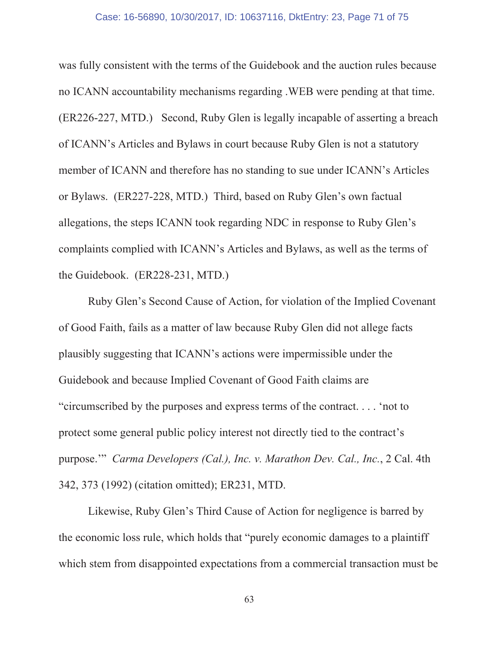was fully consistent with the terms of the Guidebook and the auction rules because no ICANN accountability mechanisms regarding . WEB were pending at that time. (ER226-227, MTD.) Second, Ruby Glen is legally incapable of asserting a breach of ICANN's Articles and Bylaws in court because Ruby Glen is not a statutory member of ICANN and therefore has no standing to sue under ICANN's Articles or Bylaws. (ER227-228, MTD.) Third, based on Ruby Glen's own factual allegations, the steps ICANN took regarding NDC in response to Ruby Glen's complaints complied with ICANN's Articles and Bylaws, as well as the terms of the Guidebook. (ER228-231, MTD.)

Ruby Glen's Second Cause of Action, for violation of the Implied Covenant of Good Faith, fails as a matter of law because Ruby Glen did not allege facts plausibly suggesting that ICANN's actions were impermissible under the Guidebook and because Implied Covenant of Good Faith claims are "circumscribed by the purposes and express terms of the contract.... 'not to protect some general public policy interest not directly tied to the contract's purpose." Carma Developers (Cal.), Inc. v. Marathon Dev. Cal., Inc., 2 Cal. 4th 342, 373 (1992) (citation omitted); ER231, MTD.

Likewise, Ruby Glen's Third Cause of Action for negligence is barred by the economic loss rule, which holds that "purely economic damages to a plaintiff" which stem from disappointed expectations from a commercial transaction must be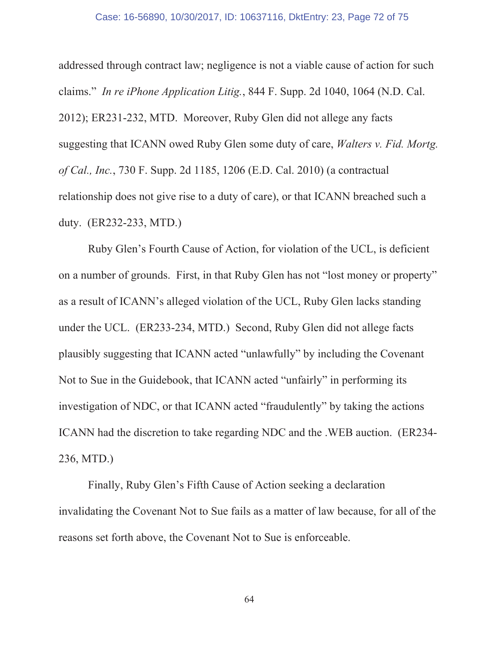addressed through contract law; negligence is not a viable cause of action for such claims." In re iPhone Application Litig., 844 F. Supp. 2d 1040, 1064 (N.D. Cal. 2012); ER231-232, MTD. Moreover, Ruby Glen did not allege any facts suggesting that ICANN owed Ruby Glen some duty of care, *Walters v. Fid. Mortg.* of Cal., Inc., 730 F. Supp. 2d 1185, 1206 (E.D. Cal. 2010) (a contractual relationship does not give rise to a duty of care), or that ICANN breached such a duty. (ER232-233, MTD.)

Ruby Glen's Fourth Cause of Action, for violation of the UCL, is deficient on a number of grounds. First, in that Ruby Glen has not "lost money or property" as a result of ICANN's alleged violation of the UCL, Ruby Glen lacks standing under the UCL. (ER233-234, MTD.) Second, Ruby Glen did not allege facts plausibly suggesting that ICANN acted "unlawfully" by including the Covenant Not to Sue in the Guidebook, that ICANN acted "unfairly" in performing its investigation of NDC, or that ICANN acted "fraudulently" by taking the actions ICANN had the discretion to take regarding NDC and the .WEB auction. (ER234-236, MTD.)

Finally, Ruby Glen's Fifth Cause of Action seeking a declaration invalidating the Covenant Not to Sue fails as a matter of law because, for all of the reasons set forth above, the Covenant Not to Sue is enforceable.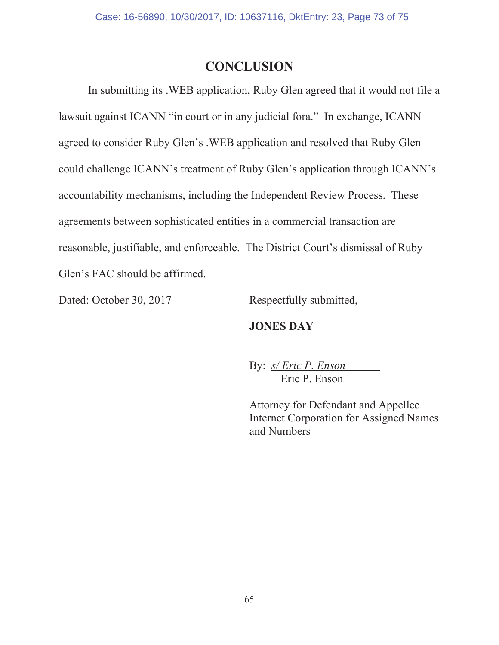## **CONCLUSION**

In submitting its .WEB application, Ruby Glen agreed that it would not file a lawsuit against ICANN "in court or in any judicial fora." In exchange, ICANN agreed to consider Ruby Glen's . WEB application and resolved that Ruby Glen could challenge ICANN's treatment of Ruby Glen's application through ICANN's accountability mechanisms, including the Independent Review Process. These agreements between sophisticated entities in a commercial transaction are reasonable, justifiable, and enforceable. The District Court's dismissal of Ruby Glen's FAC should be affirmed.

Dated: October 30, 2017

Respectfully submitted,

#### **JONES DAY**

By: *s/ Eric P. Enson* Eric P. Enson

Attorney for Defendant and Appellee **Internet Corporation for Assigned Names** and Numbers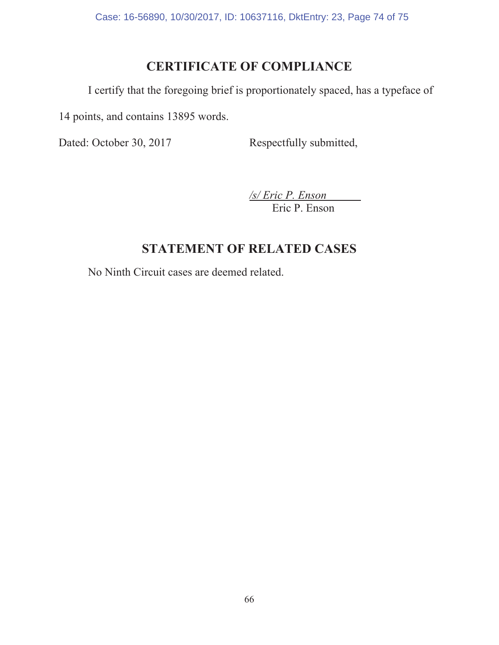Case: 16-56890, 10/30/2017, ID: 10637116, DktEntry: 23, Page 74 of 75

# **CERTIFICATE OF COMPLIANCE**

I certify that the foregoing brief is proportionately spaced, has a typeface of

14 points, and contains 13895 words.

Dated: October 30, 2017 Respectfully submitted,

*/s/ Eric P. Enson*  Eric P. Enson

## **67 STATEMENT OF RELATED CASES**

No Ninth Circuit cases are deemed related.